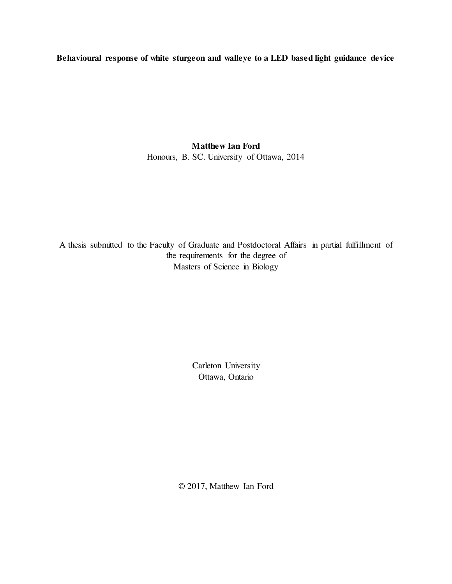Behavioural response of white sturgeon and walleye to a LED based light guidance device

Matthew Ian Ford Honours, B. SC. University of Ottawa, 2014

A thesis submitted to the Faculty of Graduate and Postdoctoral Affairs in partial fulfillment of the requirements for the degree of Masters of Science in Biology

> Carleton University Ottawa, Ontario

© 2017, Matthew Ian Ford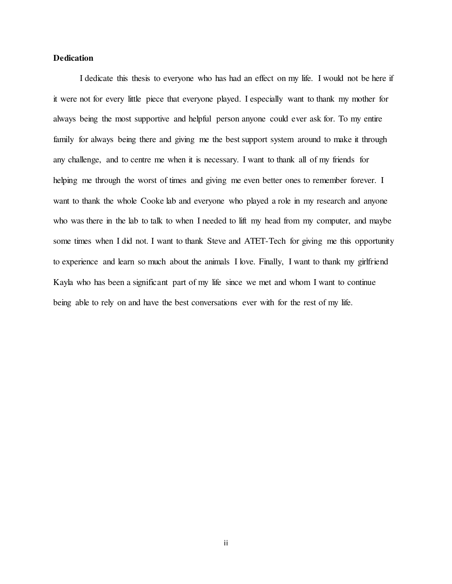## Dedication

 I dedicate this thesis to everyone who has had an effect on my life. I would not be here if it were not for every little piece that everyone played. I especially want to thank my mother for always being the most supportive and helpful person anyone could ever ask for. To my entire family for always being there and giving me the best support system around to make it through any challenge, and to centre me when it is necessary. I want to thank all of my friends for helping me through the worst of times and giving me even better ones to remember forever. I want to thank the whole Cooke lab and everyone who played a role in my research and anyone who was there in the lab to talk to when I needed to lift my head from my computer, and maybe some times when I did not. I want to thank Steve and ATET-Tech for giving me this opportunity to experience and learn so much about the animals I love. Finally, I want to thank my girlfriend Kayla who has been a significant part of my life since we met and whom I want to continue being able to rely on and have the best conversations ever with for the rest of my life.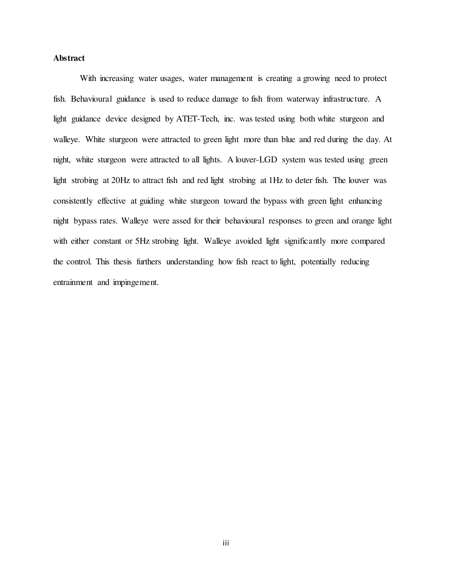## Abstract

 With increasing water usages, water management is creating a growing need to protect fish. Behavioural guidance is used to reduce damage to fish from waterway infrastructure. A light guidance device designed by ATET-Tech, inc. was tested using both white sturgeon and walleye. White sturgeon were attracted to green light more than blue and red during the day. At night, white sturgeon were attracted to all lights. A louver-LGD system was tested using green light strobing at 20Hz to attract fish and red light strobing at 1Hz to deter fish. The louver was consistently effective at guiding white sturgeon toward the bypass with green light enhancing night bypass rates. Walleye were assed for their behavioural responses to green and orange light with either constant or 5Hz strobing light. Walleye avoided light significantly more compared the control. This thesis furthers understanding how fish react to light, potentially reducing entrainment and impingement.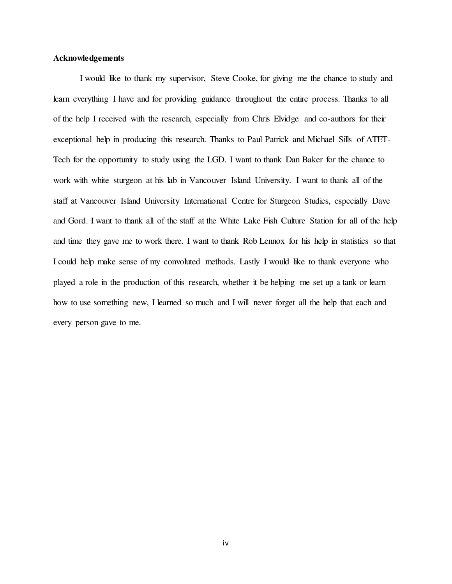## Acknowledgements

 I would like to thank my supervisor, Steve Cooke, for giving me the chance to study and learn everything I have and for providing guidance throughout the entire process. Thanks to all of the help I received with the research, especially from Chris Elvidge and co-authors for their exceptional help in producing this research. Thanks to Paul Patrick and Michael Sills of ATET-Tech for the opportunity to study using the LGD. I want to thank Dan Baker for the chance to work with white sturgeon at his lab in Vancouver Island University. I want to thank all of the staff at Vancouver Island University International Centre for Sturgeon Studies, especially Dave and Gord. I want to thank all of the staff at the White Lake Fish Culture Station for all of the help and time they gave me to work there. I want to thank Rob Lennox for his help in statistics so that I could help make sense of my convoluted methods. Lastly I would like to thank everyone who played a role in the production of this research, whether it be helping me set up a tank or learn how to use something new, I learned so much and I will never forget all the help that each and every person gave to me.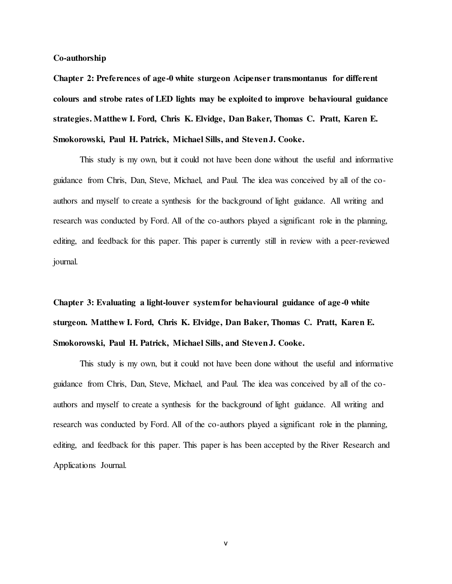#### Co-authorship

Chapter 2: Preferences of age-0 white sturgeon Acipenser transmontanus for different colours and strobe rates of LED lights may be exploited to improve behavioural guidance strategies. Matthew I. Ford, Chris K. Elvidge, Dan Baker, Thomas C. Pratt, Karen E. Smokorowski, Paul H. Patrick, Michael Sills, and Steven J. Cooke.

 This study is my own, but it could not have been done without the useful and informative guidance from Chris, Dan, Steve, Michael, and Paul. The idea was conceived by all of the coauthors and myself to create a synthesis for the background of light guidance. All writing and research was conducted by Ford. All of the co-authors played a significant role in the planning, editing, and feedback for this paper. This paper is currently still in review with a peer-reviewed journal.

Chapter 3: Evaluating a light-louver system for behavioural guidance of age-0 white sturgeon. Matthew I. Ford, Chris K. Elvidge, Dan Baker, Thomas C. Pratt, Karen E. Smokorowski, Paul H. Patrick, Michael Sills, and Steven J. Cooke.

 This study is my own, but it could not have been done without the useful and informative guidance from Chris, Dan, Steve, Michael, and Paul. The idea was conceived by all of the coauthors and myself to create a synthesis for the background of light guidance. All writing and research was conducted by Ford. All of the co-authors played a significant role in the planning, editing, and feedback for this paper. This paper is has been accepted by the River Research and Applications Journal.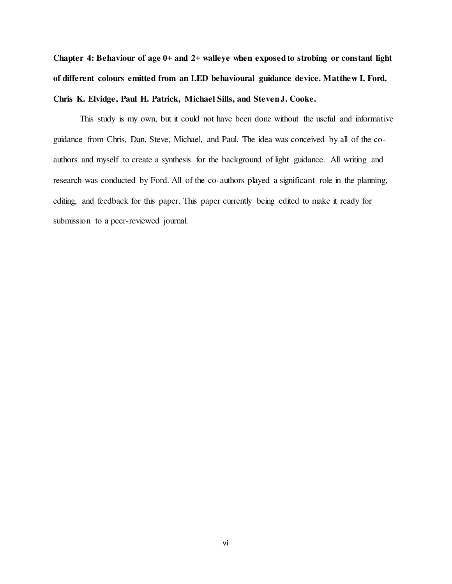Chapter 4: Behaviour of age 0+ and 2+ walleye when exposed to strobing or constant light of different colours emitted from an LED behavioural guidance device. Matthew I. Ford, Chris K. Elvidge, Paul H. Patrick, Michael Sills, and Steven J. Cooke.

 This study is my own, but it could not have been done without the useful and informative guidance from Chris, Dan, Steve, Michael, and Paul. The idea was conceived by all of the coauthors and myself to create a synthesis for the background of light guidance. All writing and research was conducted by Ford. All of the co-authors played a significant role in the planning, editing, and feedback for this paper. This paper currently being edited to make it ready for submission to a peer-reviewed journal.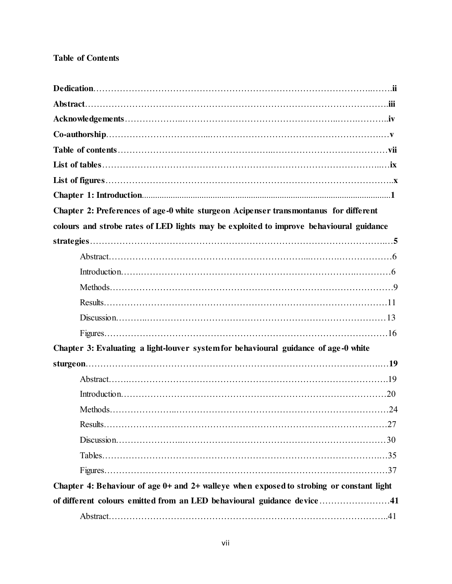## Table of Contents

| Chapter 2: Preferences of age-0 white sturgeon Acipenser transmontanus for different     |  |
|------------------------------------------------------------------------------------------|--|
| colours and strobe rates of LED lights may be exploited to improve behavioural guidance  |  |
|                                                                                          |  |
|                                                                                          |  |
|                                                                                          |  |
|                                                                                          |  |
|                                                                                          |  |
|                                                                                          |  |
|                                                                                          |  |
| Chapter 3: Evaluating a light-louver system for behavioural guidance of age-0 white      |  |
|                                                                                          |  |
|                                                                                          |  |
|                                                                                          |  |
|                                                                                          |  |
|                                                                                          |  |
|                                                                                          |  |
|                                                                                          |  |
|                                                                                          |  |
| Chapter 4: Behaviour of age 0+ and 2+ walleye when exposed to strobing or constant light |  |
| of different colours emitted from an LED behavioural guidance device41                   |  |
|                                                                                          |  |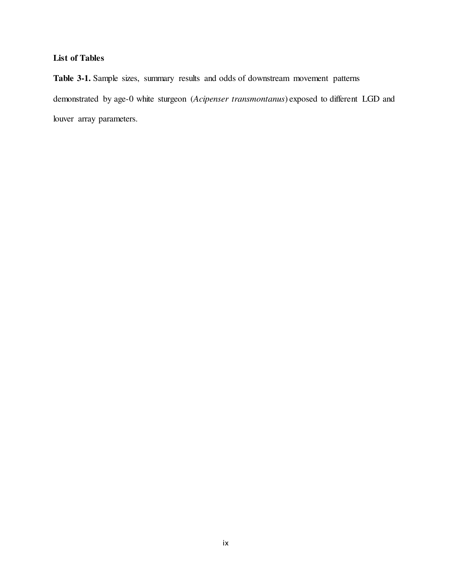# List of Tables

Table 3-1. Sample sizes, summary results and odds of downstream movement patterns demonstrated by age-0 white sturgeon (Acipenser transmontanus) exposed to different LGD and louver array parameters.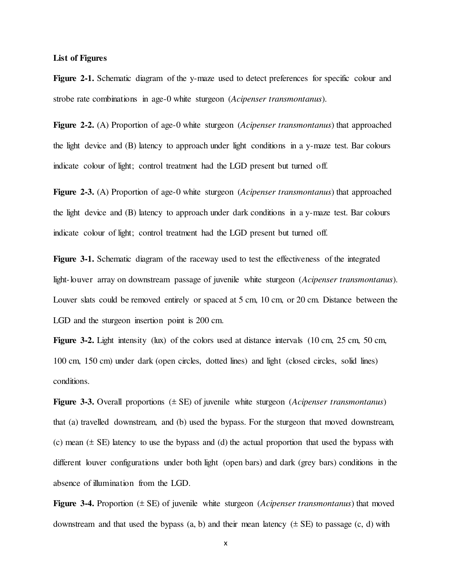### List of Figures

Figure 2-1. Schematic diagram of the y-maze used to detect preferences for specific colour and strobe rate combinations in age-0 white sturgeon (Acipenser transmontanus).

Figure 2-2. (A) Proportion of age-0 white sturgeon (*Acipenser transmontanus*) that approached the light device and (B) latency to approach under light conditions in a y-maze test. Bar colours indicate colour of light; control treatment had the LGD present but turned off.

Figure 2-3. (A) Proportion of age-0 white sturgeon (*Acipenser transmontanus*) that approached the light device and (B) latency to approach under dark conditions in a y-maze test. Bar colours indicate colour of light; control treatment had the LGD present but turned off.

Figure 3-1. Schematic diagram of the raceway used to test the effectiveness of the integrated light-louver array on downstream passage of juvenile white sturgeon (Acipenser transmontanus). Louver slats could be removed entirely or spaced at 5 cm, 10 cm, or 20 cm. Distance between the LGD and the sturgeon insertion point is 200 cm.

Figure 3-2. Light intensity (lux) of the colors used at distance intervals (10 cm, 25 cm, 50 cm, 100 cm, 150 cm) under dark (open circles, dotted lines) and light (closed circles, solid lines) conditions.

**Figure 3-3.** Overall proportions  $(\pm SE)$  of juvenile white sturgeon (*Acipenser transmontanus*) that (a) travelled downstream, and (b) used the bypass. For the sturgeon that moved downstream, (c) mean  $(\pm S$ E) latency to use the bypass and (d) the actual proportion that used the bypass with different louver configurations under both light (open bars) and dark (grey bars) conditions in the absence of illumination from the LGD.

Figure 3-4. Proportion  $(\pm S$ E) of juvenile white sturgeon (*Acipenser transmontanus*) that moved downstream and that used the bypass  $(a, b)$  and their mean latency  $(\pm SE)$  to passage  $(c, d)$  with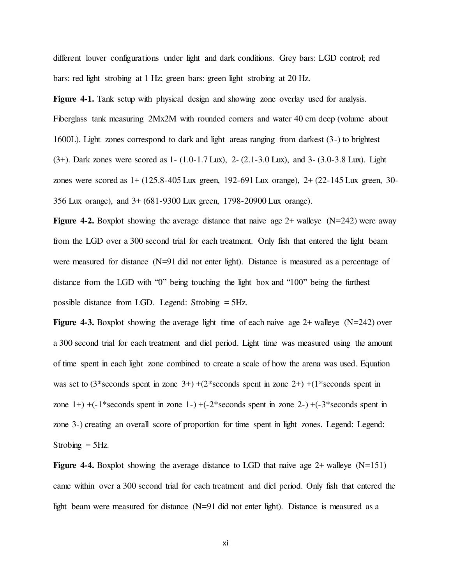different louver configurations under light and dark conditions. Grey bars: LGD control; red bars: red light strobing at 1 Hz; green bars: green light strobing at 20 Hz.

Figure 4-1. Tank setup with physical design and showing zone overlay used for analysis. Fiberglass tank measuring 2Mx2M with rounded corners and water 40 cm deep (volume about 1600L). Light zones correspond to dark and light areas ranging from darkest (3-) to brightest (3+). Dark zones were scored as 1- (1.0-1.7 Lux), 2- (2.1-3.0 Lux), and 3- (3.0-3.8 Lux). Light zones were scored as 1+ (125.8-405 Lux green, 192-691 Lux orange), 2+ (22-145 Lux green, 30- 356 Lux orange), and 3+ (681-9300 Lux green, 1798-20900 Lux orange).

**Figure 4-2.** Boxplot showing the average distance that naive age  $2+$  walleye (N=242) were away from the LGD over a 300 second trial for each treatment. Only fish that entered the light beam were measured for distance (N=91 did not enter light). Distance is measured as a percentage of distance from the LGD with "0" being touching the light box and "100" being the furthest possible distance from LGD. Legend: Strobing = 5Hz.

**Figure 4-3.** Boxplot showing the average light time of each naive age  $2+$  walleye (N=242) over a 300 second trial for each treatment and diel period. Light time was measured using the amount of time spent in each light zone combined to create a scale of how the arena was used. Equation was set to  $(3*seconds spent in zone 3+) + (2*seconds spent in zone 2+) + (1*seconds spent in$ zone  $1+) +(-1)$ \*seconds spent in zone  $1-) +(-2)$ \*seconds spent in zone  $2-) +(-3)$ \*seconds spent in zone 3-) creating an overall score of proportion for time spent in light zones. Legend: Legend: Strobing  $=$  5Hz.

**Figure 4-4.** Boxplot showing the average distance to LGD that naive age  $2+$  walleye (N=151) came within over a 300 second trial for each treatment and diel period. Only fish that entered the light beam were measured for distance (N=91 did not enter light). Distance is measured as a

xi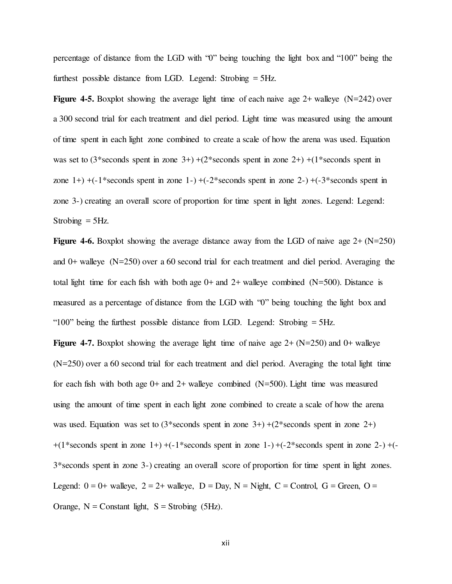percentage of distance from the LGD with "0" being touching the light box and "100" being the furthest possible distance from LGD. Legend: Strobing = 5Hz.

**Figure 4-5.** Boxplot showing the average light time of each naive age  $2+$  walleye (N=242) over a 300 second trial for each treatment and diel period. Light time was measured using the amount of time spent in each light zone combined to create a scale of how the arena was used. Equation was set to  $(3*seconds spent in zone 3+) + (2*seconds spent in zone 2+) + (1*seconds spent in$ zone  $1+$ ) +(-1\*seconds spent in zone  $1-$ ) +(-2\*seconds spent in zone  $2-$ ) +(-3\*seconds spent in zone 3-) creating an overall score of proportion for time spent in light zones. Legend: Legend: Strobing  $=$  5Hz.

**Figure 4-6.** Boxplot showing the average distance away from the LGD of naive age  $2+(N=250)$ and 0+ walleye (N=250) over a 60 second trial for each treatment and diel period. Averaging the total light time for each fish with both age  $0+$  and  $2+$  walleye combined (N=500). Distance is measured as a percentage of distance from the LGD with "0" being touching the light box and "100" being the furthest possible distance from LGD. Legend: Strobing  $=$  5Hz.

**Figure 4-7.** Boxplot showing the average light time of naive age  $2 + (N=250)$  and  $0+$  walleye (N=250) over a 60 second trial for each treatment and diel period. Averaging the total light time for each fish with both age  $0+$  and  $2+$  walleye combined (N=500). Light time was measured using the amount of time spent in each light zone combined to create a scale of how the arena was used. Equation was set to  $(3*seconds)$  spent in zone 3+) + $(2*seconds)$  spent in zone 2+)  $+(1*seconds spent in zone 1+) + (-1*seconds spent in zone 1-) + (-2*seconds spent in zone 2-) + (-1*seconds spent in zone 1+)$ 3\*seconds spent in zone 3-) creating an overall score of proportion for time spent in light zones. Legend:  $0 = 0$ + walleye,  $2 = 2$ + walleye,  $D = Day$ ,  $N = Night$ ,  $C = Control$ ,  $G = Green$ ,  $O =$ Orange,  $N =$  Constant light,  $S =$  Strobing (5Hz).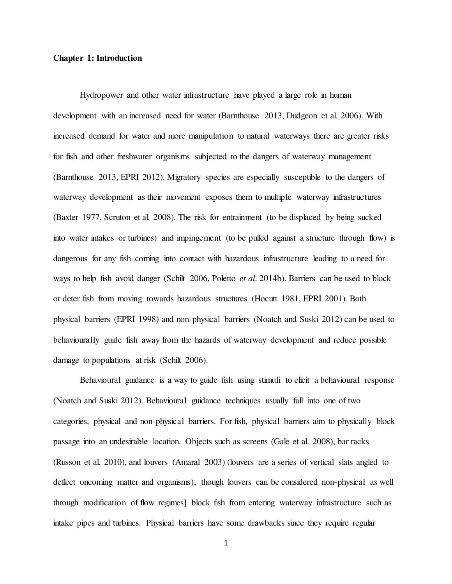#### Chapter 1: Introduction

 Hydropower and other water infrastructure have played a large role in human development with an increased need for water (Barnthouse 2013, Dudgeon et al. 2006). With increased demand for water and more manipulation to natural waterways there are greater risks for fish and other freshwater organisms subjected to the dangers of waterway management (Barnthouse 2013, EPRI 2012). Migratory species are especially susceptible to the dangers of waterway development as their movement exposes them to multiple waterway infrastructures (Baxter 1977, Scruton et al. 2008). The risk for entrainment (to be displaced by being sucked into water intakes or turbines) and impingement (to be pulled against a structure through flow) is dangerous for any fish coming into contact with hazardous infrastructure leading to a need for ways to help fish avoid danger (Schilt 2006, Poletto *et al.* 2014b). Barriers can be used to block or deter fish from moving towards hazardous structures (Hocutt 1981, EPRI 2001). Both physical barriers (EPRI 1998) and non-physical barriers (Noatch and Suski 2012) can be used to behaviourally guide fish away from the hazards of waterway development and reduce possible damage to populations at risk (Schilt 2006).

 Behavioural guidance is a way to guide fish using stimuli to elicit a behavioural response (Noatch and Suski 2012). Behavioural guidance techniques usually fall into one of two categories, physical and non-physical barriers. For fish, physical barriers aim to physically block passage into an undesirable location. Objects such as screens (Gale et al. 2008), bar racks (Russon et al. 2010), and louvers (Amaral 2003) (louvers are a series of vertical slats angled to deflect oncoming matter and organisms), though louvers can be considered non-physical as well through modification of flow regimes] block fish from entering waterway infrastructure such as intake pipes and turbines. Physical barriers have some drawbacks since they require regular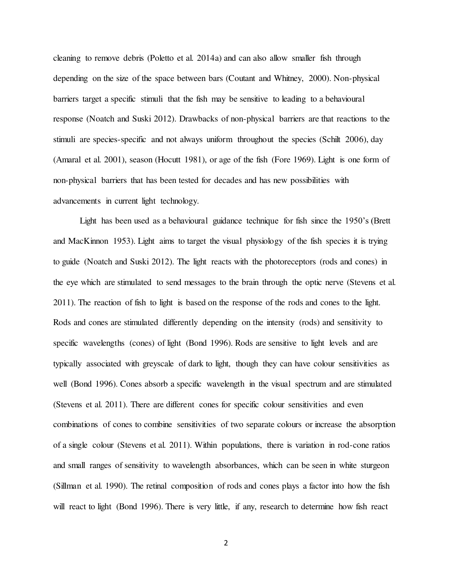cleaning to remove debris (Poletto et al. 2014a) and can also allow smaller fish through depending on the size of the space between bars (Coutant and Whitney, 2000). Non-physical barriers target a specific stimuli that the fish may be sensitive to leading to a behavioural response (Noatch and Suski 2012). Drawbacks of non-physical barriers are that reactions to the stimuli are species-specific and not always uniform throughout the species (Schilt 2006), day (Amaral et al. 2001), season (Hocutt 1981), or age of the fish (Fore 1969). Light is one form of non-physical barriers that has been tested for decades and has new possibilities with advancements in current light technology.

 Light has been used as a behavioural guidance technique for fish since the 1950's (Brett and MacKinnon 1953). Light aims to target the visual physiology of the fish species it is trying to guide (Noatch and Suski 2012). The light reacts with the photoreceptors (rods and cones) in the eye which are stimulated to send messages to the brain through the optic nerve (Stevens et al. 2011). The reaction of fish to light is based on the response of the rods and cones to the light. Rods and cones are stimulated differently depending on the intensity (rods) and sensitivity to specific wavelengths (cones) of light (Bond 1996). Rods are sensitive to light levels and are typically associated with greyscale of dark to light, though they can have colour sensitivities as well (Bond 1996). Cones absorb a specific wavelength in the visual spectrum and are stimulated (Stevens et al. 2011). There are different cones for specific colour sensitivities and even combinations of cones to combine sensitivities of two separate colours or increase the absorption of a single colour (Stevens et al. 2011). Within populations, there is variation in rod-cone ratios and small ranges of sensitivity to wavelength absorbances, which can be seen in white sturgeon (Sillman et al. 1990). The retinal composition of rods and cones plays a factor into how the fish will react to light (Bond 1996). There is very little, if any, research to determine how fish react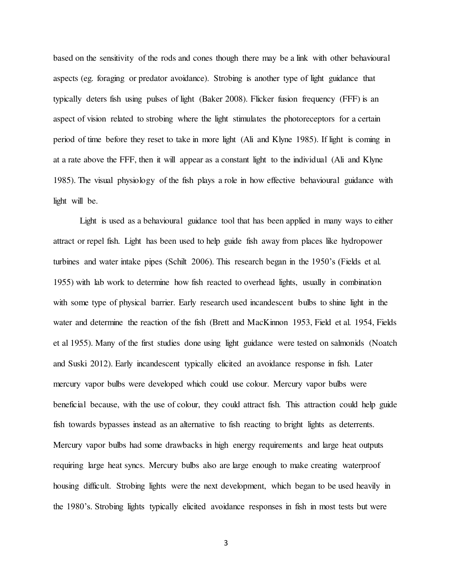based on the sensitivity of the rods and cones though there may be a link with other behavioural aspects (eg. foraging or predator avoidance). Strobing is another type of light guidance that typically deters fish using pulses of light (Baker 2008). Flicker fusion frequency (FFF) is an aspect of vision related to strobing where the light stimulates the photoreceptors for a certain period of time before they reset to take in more light (Ali and Klyne 1985). If light is coming in at a rate above the FFF, then it will appear as a constant light to the individual (Ali and Klyne 1985). The visual physiology of the fish plays a role in how effective behavioural guidance with light will be.

 Light is used as a behavioural guidance tool that has been applied in many ways to either attract or repel fish. Light has been used to help guide fish away from places like hydropower turbines and water intake pipes (Schilt 2006). This research began in the 1950's (Fields et al. 1955) with lab work to determine how fish reacted to overhead lights, usually in combination with some type of physical barrier. Early research used incandescent bulbs to shine light in the water and determine the reaction of the fish (Brett and MacKinnon 1953, Field et al. 1954, Fields et al 1955). Many of the first studies done using light guidance were tested on salmonids (Noatch and Suski 2012). Early incandescent typically elicited an avoidance response in fish. Later mercury vapor bulbs were developed which could use colour. Mercury vapor bulbs were beneficial because, with the use of colour, they could attract fish. This attraction could help guide fish towards bypasses instead as an alternative to fish reacting to bright lights as deterrents. Mercury vapor bulbs had some drawbacks in high energy requirements and large heat outputs requiring large heat syncs. Mercury bulbs also are large enough to make creating waterproof housing difficult. Strobing lights were the next development, which began to be used heavily in the 1980's. Strobing lights typically elicited avoidance responses in fish in most tests but were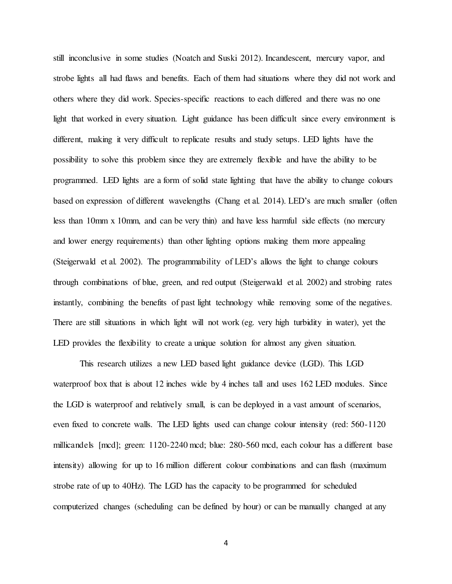still inconclusive in some studies (Noatch and Suski 2012). Incandescent, mercury vapor, and strobe lights all had flaws and benefits. Each of them had situations where they did not work and others where they did work. Species-specific reactions to each differed and there was no one light that worked in every situation. Light guidance has been difficult since every environment is different, making it very difficult to replicate results and study setups. LED lights have the possibility to solve this problem since they are extremely flexible and have the ability to be programmed. LED lights are a form of solid state lighting that have the ability to change colours based on expression of different wavelengths (Chang et al. 2014). LED's are much smaller (often less than 10mm x 10mm, and can be very thin) and have less harmful side effects (no mercury and lower energy requirements) than other lighting options making them more appealing (Steigerwald et al. 2002). The programmability of LED's allows the light to change colours through combinations of blue, green, and red output (Steigerwald et al. 2002) and strobing rates instantly, combining the benefits of past light technology while removing some of the negatives. There are still situations in which light will not work (eg. very high turbidity in water), yet the LED provides the flexibility to create a unique solution for almost any given situation.

 This research utilizes a new LED based light guidance device (LGD). This LGD waterproof box that is about 12 inches wide by 4 inches tall and uses 162 LED modules. Since the LGD is waterproof and relatively small, is can be deployed in a vast amount of scenarios, even fixed to concrete walls. The LED lights used can change colour intensity (red: 560-1120 millicandels [mcd]; green: 1120-2240 mcd; blue: 280-560 mcd, each colour has a different base intensity) allowing for up to 16 million different colour combinations and can flash (maximum strobe rate of up to 40Hz). The LGD has the capacity to be programmed for scheduled computerized changes (scheduling can be defined by hour) or can be manually changed at any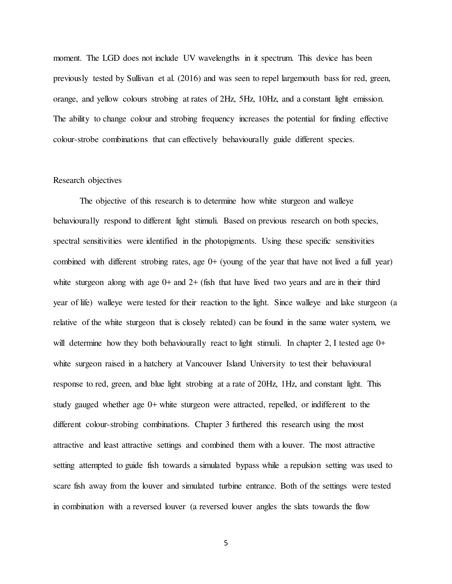moment. The LGD does not include UV wavelengths in it spectrum. This device has been previously tested by Sullivan et al. (2016) and was seen to repel largemouth bass for red, green, orange, and yellow colours strobing at rates of 2Hz, 5Hz, 10Hz, and a constant light emission. The ability to change colour and strobing frequency increases the potential for finding effective colour-strobe combinations that can effectively behaviourally guide different species.

#### Research objectives

 The objective of this research is to determine how white sturgeon and walleye behaviourally respond to different light stimuli. Based on previous research on both species, spectral sensitivities were identified in the photopigments. Using these specific sensitivities combined with different strobing rates, age  $0+$  (young of the year that have not lived a full year) white sturgeon along with age  $0+$  and  $2+$  (fish that have lived two years and are in their third year of life) walleye were tested for their reaction to the light. Since walleye and lake sturgeon (a relative of the white sturgeon that is closely related) can be found in the same water system, we will determine how they both behaviourally react to light stimuli. In chapter 2, I tested age 0+ white surgeon raised in a hatchery at Vancouver Island University to test their behavioural response to red, green, and blue light strobing at a rate of 20Hz, 1Hz, and constant light. This study gauged whether age 0+ white sturgeon were attracted, repelled, or indifferent to the different colour-strobing combinations. Chapter 3 furthered this research using the most attractive and least attractive settings and combined them with a louver. The most attractive setting attempted to guide fish towards a simulated bypass while a repulsion setting was used to scare fish away from the louver and simulated turbine entrance. Both of the settings were tested in combination with a reversed louver (a reversed louver angles the slats towards the flow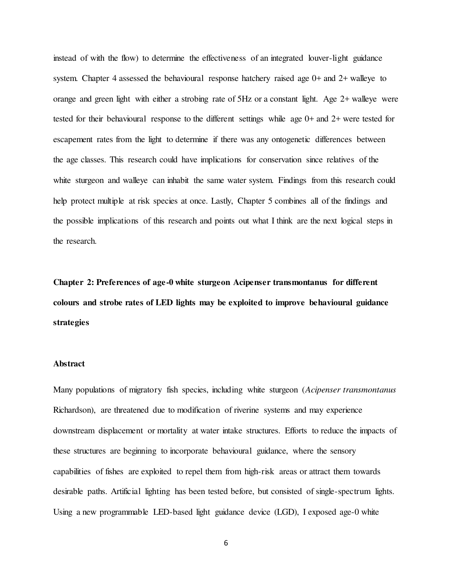instead of with the flow) to determine the effectiveness of an integrated louver-light guidance system. Chapter 4 assessed the behavioural response hatchery raised age 0+ and 2+ walleye to orange and green light with either a strobing rate of 5Hz or a constant light. Age 2+ walleye were tested for their behavioural response to the different settings while age 0+ and 2+ were tested for escapement rates from the light to determine if there was any ontogenetic differences between the age classes. This research could have implications for conservation since relatives of the white sturgeon and walleye can inhabit the same water system. Findings from this research could help protect multiple at risk species at once. Lastly, Chapter 5 combines all of the findings and the possible implications of this research and points out what I think are the next logical steps in the research.

Chapter 2: Preferences of age-0 white sturgeon Acipenser transmontanus for different colours and strobe rates of LED lights may be exploited to improve behavioural guidance strategies

## Abstract

Many populations of migratory fish species, including white sturgeon (Acipenser transmontanus Richardson), are threatened due to modification of riverine systems and may experience downstream displacement or mortality at water intake structures. Efforts to reduce the impacts of these structures are beginning to incorporate behavioural guidance, where the sensory capabilities of fishes are exploited to repel them from high-risk areas or attract them towards desirable paths. Artificial lighting has been tested before, but consisted of single-spectrum lights. Using a new programmable LED-based light guidance device (LGD), I exposed age-0 white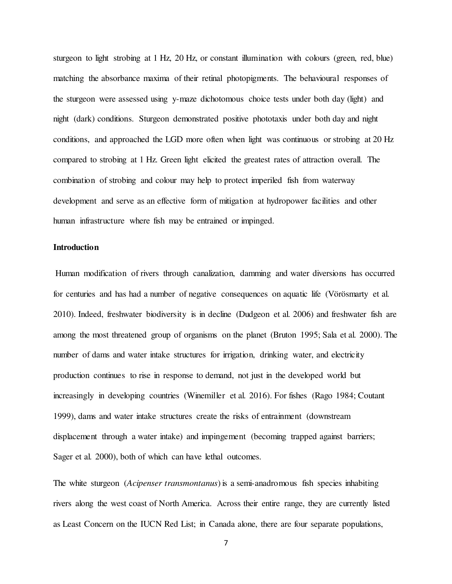sturgeon to light strobing at 1 Hz, 20 Hz, or constant illumination with colours (green, red, blue) matching the absorbance maxima of their retinal photopigments. The behavioural responses of the sturgeon were assessed using y-maze dichotomous choice tests under both day (light) and night (dark) conditions. Sturgeon demonstrated positive phototaxis under both day and night conditions, and approached the LGD more often when light was continuous or strobing at 20 Hz compared to strobing at 1 Hz. Green light elicited the greatest rates of attraction overall. The combination of strobing and colour may help to protect imperiled fish from waterway development and serve as an effective form of mitigation at hydropower facilities and other human infrastructure where fish may be entrained or impinged.

## **Introduction**

 Human modification of rivers through canalization, damming and water diversions has occurred for centuries and has had a number of negative consequences on aquatic life (Vörösmarty et al. 2010). Indeed, freshwater biodiversity is in decline (Dudgeon et al. 2006) and freshwater fish are among the most threatened group of organisms on the planet (Bruton 1995; Sala et al. 2000). The number of dams and water intake structures for irrigation, drinking water, and electricity production continues to rise in response to demand, not just in the developed world but increasingly in developing countries (Winemiller et al. 2016). For fishes (Rago 1984; Coutant 1999), dams and water intake structures create the risks of entrainment (downstream displacement through a water intake) and impingement (becoming trapped against barriers; Sager et al. 2000), both of which can have lethal outcomes.

The white sturgeon (*Acipenser transmontanus*) is a semi-anadromous fish species inhabiting rivers along the west coast of North America. Across their entire range, they are currently listed as Least Concern on the IUCN Red List; in Canada alone, there are four separate populations,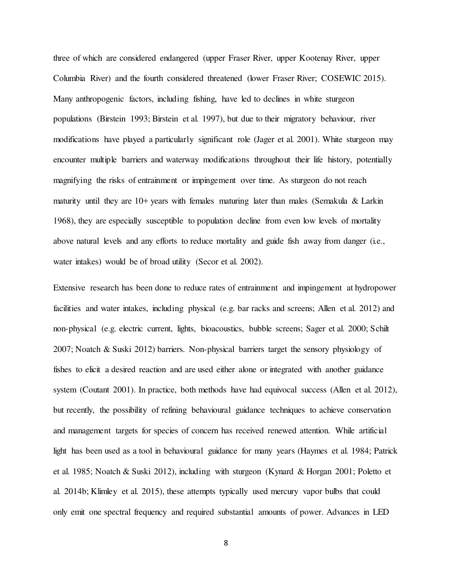three of which are considered endangered (upper Fraser River, upper Kootenay River, upper Columbia River) and the fourth considered threatened (lower Fraser River; COSEWIC 2015). Many anthropogenic factors, including fishing, have led to declines in white sturgeon populations (Birstein 1993; Birstein et al. 1997), but due to their migratory behaviour, river modifications have played a particularly significant role (Jager et al. 2001). White sturgeon may encounter multiple barriers and waterway modifications throughout their life history, potentially magnifying the risks of entrainment or impingement over time. As sturgeon do not reach maturity until they are 10+ years with females maturing later than males (Semakula & Larkin 1968), they are especially susceptible to population decline from even low levels of mortality above natural levels and any efforts to reduce mortality and guide fish away from danger (i.e., water intakes) would be of broad utility (Secor et al. 2002).

Extensive research has been done to reduce rates of entrainment and impingement at hydropower facilities and water intakes, including physical (e.g. bar racks and screens; Allen et al. 2012) and non-physical (e.g. electric current, lights, bioacoustics, bubble screens; Sager et al. 2000; Schilt 2007; Noatch & Suski 2012) barriers. Non-physical barriers target the sensory physiology of fishes to elicit a desired reaction and are used either alone or integrated with another guidance system (Coutant 2001). In practice, both methods have had equivocal success (Allen et al. 2012), but recently, the possibility of refining behavioural guidance techniques to achieve conservation and management targets for species of concern has received renewed attention. While artificial light has been used as a tool in behavioural guidance for many years (Haymes et al. 1984; Patrick et al. 1985; Noatch & Suski 2012), including with sturgeon (Kynard & Horgan 2001; Poletto et al. 2014b; Klimley et al. 2015), these attempts typically used mercury vapor bulbs that could only emit one spectral frequency and required substantial amounts of power. Advances in LED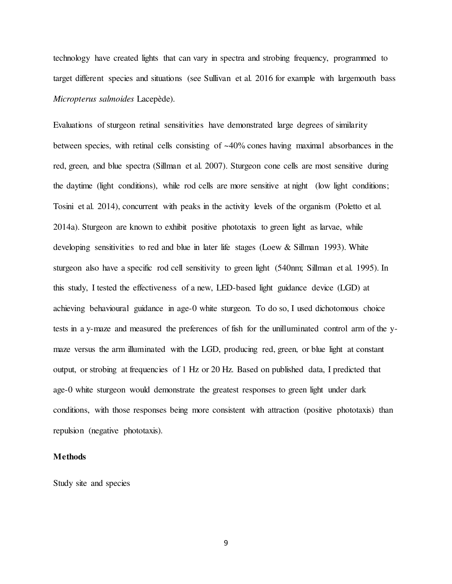technology have created lights that can vary in spectra and strobing frequency, programmed to target different species and situations (see Sullivan et al. 2016 for example with largemouth bass Micropterus salmoides Lacepède).

Evaluations of sturgeon retinal sensitivities have demonstrated large degrees of similarity between species, with retinal cells consisting of ~40% cones having maximal absorbances in the red, green, and blue spectra (Sillman et al. 2007). Sturgeon cone cells are most sensitive during the daytime (light conditions), while rod cells are more sensitive at night (low light conditions; Tosini et al. 2014), concurrent with peaks in the activity levels of the organism (Poletto et al. 2014a). Sturgeon are known to exhibit positive phototaxis to green light as larvae, while developing sensitivities to red and blue in later life stages (Loew & Sillman 1993). White sturgeon also have a specific rod cell sensitivity to green light (540nm; Sillman et al. 1995). In this study, I tested the effectiveness of a new, LED-based light guidance device (LGD) at achieving behavioural guidance in age-0 white sturgeon. To do so, I used dichotomous choice tests in a y-maze and measured the preferences of fish for the unilluminated control arm of the ymaze versus the arm illuminated with the LGD, producing red, green, or blue light at constant output, or strobing at frequencies of 1 Hz or 20 Hz. Based on published data, I predicted that age-0 white sturgeon would demonstrate the greatest responses to green light under dark conditions, with those responses being more consistent with attraction (positive phototaxis) than repulsion (negative phototaxis).

### Methods

Study site and species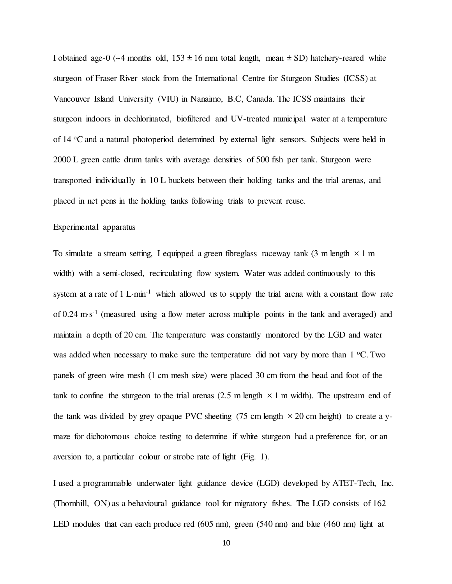I obtained age-0 ( $\sim$ 4 months old, 153  $\pm$  16 mm total length, mean  $\pm$  SD) hatchery-reared white sturgeon of Fraser River stock from the International Centre for Sturgeon Studies (ICSS) at Vancouver Island University (VIU) in Nanaimo, B.C, Canada. The ICSS maintains their sturgeon indoors in dechlorinated, biofiltered and UV-treated municipal water at a temperature of 14 <sup>o</sup>C and a natural photoperiod determined by external light sensors. Subjects were held in 2000 L green cattle drum tanks with average densities of 500 fish per tank. Sturgeon were transported individually in 10 L buckets between their holding tanks and the trial arenas, and placed in net pens in the holding tanks following trials to prevent reuse.

## Experimental apparatus

To simulate a stream setting, I equipped a green fibreglass raceway tank (3 m length  $\times$  1 m width) with a semi-closed, recirculating flow system. Water was added continuously to this system at a rate of  $1 \text{ L-min}^{-1}$  which allowed us to supply the trial arena with a constant flow rate of 0.24 m·s<sup>-1</sup> (measured using a flow meter across multiple points in the tank and averaged) and maintain a depth of 20 cm. The temperature was constantly monitored by the LGD and water was added when necessary to make sure the temperature did not vary by more than  $1 \degree C$ . Two panels of green wire mesh (1 cm mesh size) were placed 30 cm from the head and foot of the tank to confine the sturgeon to the trial arenas  $(2.5 \text{ m length } \times 1 \text{ m width})$ . The upstream end of the tank was divided by grey opaque PVC sheeting (75 cm length  $\times$  20 cm height) to create a ymaze for dichotomous choice testing to determine if white sturgeon had a preference for, or an aversion to, a particular colour or strobe rate of light (Fig. 1).

I used a programmable underwater light guidance device (LGD) developed by ATET-Tech, Inc. (Thornhill, ON) as a behavioural guidance tool for migratory fishes. The LGD consists of 162 LED modules that can each produce red (605 nm), green (540 nm) and blue (460 nm) light at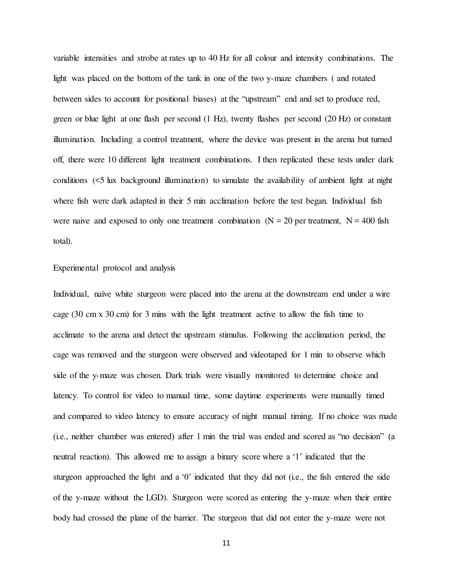variable intensities and strobe at rates up to 40 Hz for all colour and intensity combinations. The light was placed on the bottom of the tank in one of the two y-maze chambers ( and rotated between sides to account for positional biases) at the "upstream" end and set to produce red, green or blue light at one flash per second (1 Hz), twenty flashes per second (20 Hz) or constant illumination. Including a control treatment, where the device was present in the arena but turned off, there were 10 different light treatment combinations. I then replicated these tests under dark conditions (<5 lux background illumination) to simulate the availability of ambient light at night where fish were dark adapted in their 5 min acclimation before the test began. Individual fish were naive and exposed to only one treatment combination ( $N = 20$  per treatment,  $N = 400$  fish total).

## Experimental protocol and analysis

Individual, naïve white sturgeon were placed into the arena at the downstream end under a wire cage (30 cm x 30 cm) for 3 mins with the light treatment active to allow the fish time to acclimate to the arena and detect the upstream stimulus. Following the acclimation period, the cage was removed and the sturgeon were observed and videotaped for 1 min to observe which side of the y-maze was chosen. Dark trials were visually monitored to determine choice and latency. To control for video to manual time, some daytime experiments were manually timed and compared to video latency to ensure accuracy of night manual timing. If no choice was made (i.e., neither chamber was entered) after 1 min the trial was ended and scored as "no decision" (a neutral reaction). This allowed me to assign a binary score where a '1' indicated that the sturgeon approached the light and a '0' indicated that they did not (i.e., the fish entered the side of the y-maze without the LGD). Sturgeon were scored as entering the y-maze when their entire body had crossed the plane of the barrier. The sturgeon that did not enter the y-maze were not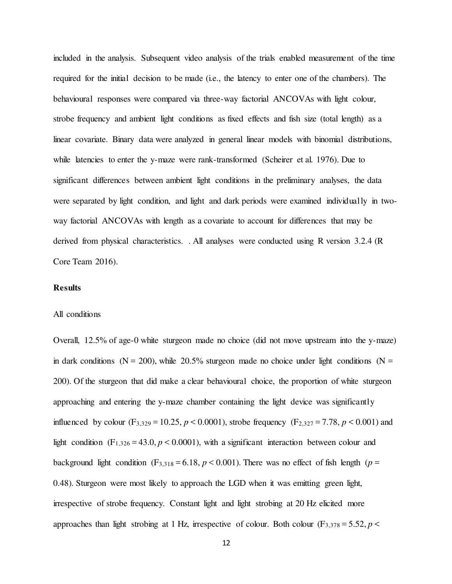included in the analysis. Subsequent video analysis of the trials enabled measurement of the time required for the initial decision to be made (i.e., the latency to enter one of the chambers). The behavioural responses were compared via three-way factorial ANCOVAs with light colour, strobe frequency and ambient light conditions as fixed effects and fish size (total length) as a linear covariate. Binary data were analyzed in general linear models with binomial distributions, while latencies to enter the y-maze were rank-transformed (Scheirer et al. 1976). Due to significant differences between ambient light conditions in the preliminary analyses, the data were separated by light condition, and light and dark periods were examined individually in twoway factorial ANCOVAs with length as a covariate to account for differences that may be derived from physical characteristics. . All analyses were conducted using R version 3.2.4 (R Core Team 2016).

## Results

#### All conditions

Overall, 12.5% of age-0 white sturgeon made no choice (did not move upstream into the y-maze) in dark conditions ( $N = 200$ ), while 20.5% sturgeon made no choice under light conditions ( $N =$ 200). Of the sturgeon that did make a clear behavioural choice, the proportion of white sturgeon approaching and entering the y-maze chamber containing the light device was significantly influenced by colour  $(F_{3,329} = 10.25, p < 0.0001)$ , strobe frequency  $(F_{2,327} = 7.78, p < 0.001)$  and light condition (F<sub>1,326</sub> = 43.0,  $p < 0.0001$ ), with a significant interaction between colour and background light condition (F<sub>3,318</sub> = 6.18,  $p < 0.001$ ). There was no effect of fish length ( $p =$ 0.48). Sturgeon were most likely to approach the LGD when it was emitting green light, irrespective of strobe frequency. Constant light and light strobing at 20 Hz elicited more approaches than light strobing at 1 Hz, irrespective of colour. Both colour (F<sub>3,378</sub> = 5.52, p <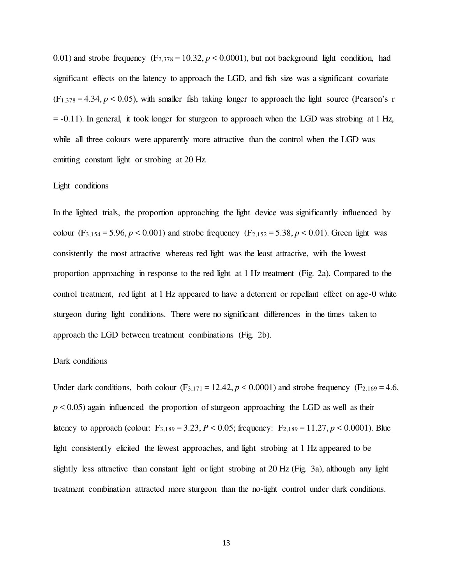0.01) and strobe frequency  $(F_{2,378} = 10.32, p \lt 0.0001)$ , but not background light condition, had significant effects on the latency to approach the LGD, and fish size was a significant covariate  $(F_{1,378} = 4.34, p \le 0.05)$ , with smaller fish taking longer to approach the light source (Pearson's r  $= -0.11$ ). In general, it took longer for sturgeon to approach when the LGD was strobing at 1 Hz, while all three colours were apparently more attractive than the control when the LGD was emitting constant light or strobing at 20 Hz.

### Light conditions

In the lighted trials, the proportion approaching the light device was significantly influenced by colour  $(F_{3,154} = 5.96, p \le 0.001)$  and strobe frequency  $(F_{2,152} = 5.38, p \le 0.01)$ . Green light was consistently the most attractive whereas red light was the least attractive, with the lowest proportion approaching in response to the red light at 1 Hz treatment (Fig. 2a). Compared to the control treatment, red light at 1 Hz appeared to have a deterrent or repellant effect on age-0 white sturgeon during light conditions. There were no significant differences in the times taken to approach the LGD between treatment combinations (Fig. 2b).

## Dark conditions

Under dark conditions, both colour  $(F_{3,171} = 12.42, p < 0.0001)$  and strobe frequency  $(F_{2,169} = 4.6,$  $p < 0.05$ ) again influenced the proportion of sturgeon approaching the LGD as well as their latency to approach (colour:  $F_{3,189} = 3.23$ ,  $P < 0.05$ ; frequency:  $F_{2,189} = 11.27$ ,  $p < 0.0001$ ). Blue light consistently elicited the fewest approaches, and light strobing at 1 Hz appeared to be slightly less attractive than constant light or light strobing at 20 Hz (Fig. 3a), although any light treatment combination attracted more sturgeon than the no-light control under dark conditions.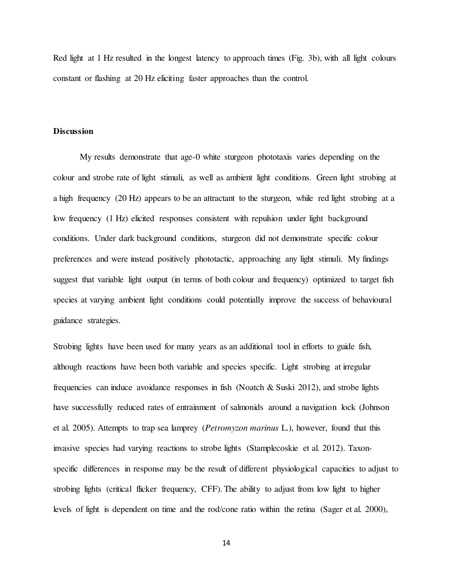Red light at 1 Hz resulted in the longest latency to approach times (Fig. 3b), with all light colours constant or flashing at 20 Hz eliciting faster approaches than the control.

### **Discussion**

My results demonstrate that age-0 white sturgeon phototaxis varies depending on the colour and strobe rate of light stimuli, as well as ambient light conditions. Green light strobing at a high frequency (20 Hz) appears to be an attractant to the sturgeon, while red light strobing at a low frequency (1 Hz) elicited responses consistent with repulsion under light background conditions. Under dark background conditions, sturgeon did not demonstrate specific colour preferences and were instead positively phototactic, approaching any light stimuli. My findings suggest that variable light output (in terms of both colour and frequency) optimized to target fish species at varying ambient light conditions could potentially improve the success of behavioural guidance strategies.

Strobing lights have been used for many years as an additional tool in efforts to guide fish, although reactions have been both variable and species specific. Light strobing at irregular frequencies can induce avoidance responses in fish (Noatch & Suski 2012), and strobe lights have successfully reduced rates of entrainment of salmonids around a navigation lock (Johnson et al. 2005). Attempts to trap sea lamprey (Petromyzon marinus L.), however, found that this invasive species had varying reactions to strobe lights (Stamplecoskie et al. 2012). Taxonspecific differences in response may be the result of different physiological capacities to adjust to strobing lights (critical flicker frequency, CFF). The ability to adjust from low light to higher levels of light is dependent on time and the rod/cone ratio within the retina (Sager et al. 2000),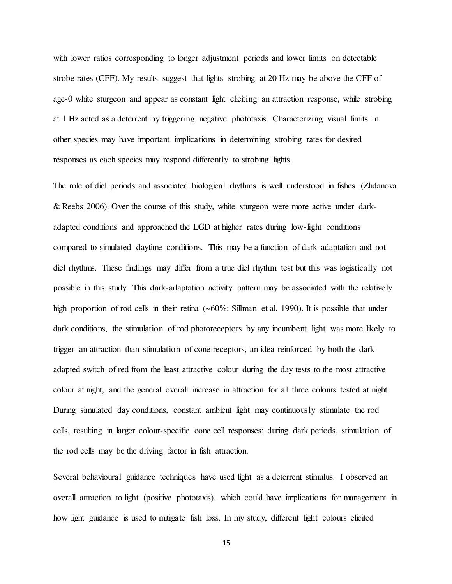with lower ratios corresponding to longer adjustment periods and lower limits on detectable strobe rates (CFF). My results suggest that lights strobing at 20 Hz may be above the CFF of age-0 white sturgeon and appear as constant light eliciting an attraction response, while strobing at 1 Hz acted as a deterrent by triggering negative phototaxis. Characterizing visual limits in other species may have important implications in determining strobing rates for desired responses as each species may respond differently to strobing lights.

The role of diel periods and associated biological rhythms is well understood in fishes (Zhdanova & Reebs 2006). Over the course of this study, white sturgeon were more active under darkadapted conditions and approached the LGD at higher rates during low-light conditions compared to simulated daytime conditions. This may be a function of dark-adaptation and not diel rhythms. These findings may differ from a true diel rhythm test but this was logistically not possible in this study. This dark-adaptation activity pattern may be associated with the relatively high proportion of rod cells in their retina (~60%: Sillman et al. 1990). It is possible that under dark conditions, the stimulation of rod photoreceptors by any incumbent light was more likely to trigger an attraction than stimulation of cone receptors, an idea reinforced by both the darkadapted switch of red from the least attractive colour during the day tests to the most attractive colour at night, and the general overall increase in attraction for all three colours tested at night. During simulated day conditions, constant ambient light may continuously stimulate the rod cells, resulting in larger colour-specific cone cell responses; during dark periods, stimulation of the rod cells may be the driving factor in fish attraction.

Several behavioural guidance techniques have used light as a deterrent stimulus. I observed an overall attraction to light (positive phototaxis), which could have implications for management in how light guidance is used to mitigate fish loss. In my study, different light colours elicited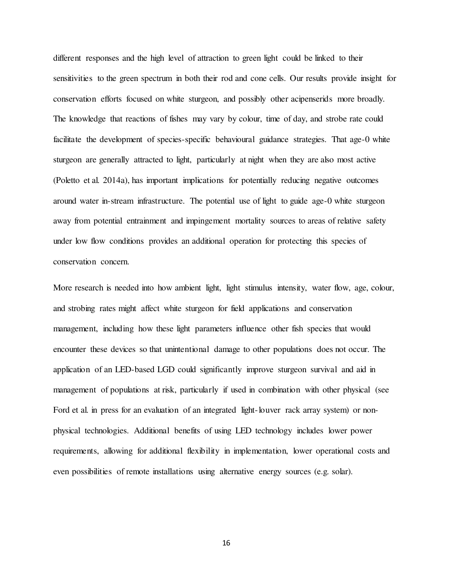different responses and the high level of attraction to green light could be linked to their sensitivities to the green spectrum in both their rod and cone cells. Our results provide insight for conservation efforts focused on white sturgeon, and possibly other acipenserids more broadly. The knowledge that reactions of fishes may vary by colour, time of day, and strobe rate could facilitate the development of species-specific behavioural guidance strategies. That age-0 white sturgeon are generally attracted to light, particularly at night when they are also most active (Poletto et al. 2014a), has important implications for potentially reducing negative outcomes around water in-stream infrastructure. The potential use of light to guide age-0 white sturgeon away from potential entrainment and impingement mortality sources to areas of relative safety under low flow conditions provides an additional operation for protecting this species of conservation concern.

More research is needed into how ambient light, light stimulus intensity, water flow, age, colour, and strobing rates might affect white sturgeon for field applications and conservation management, including how these light parameters influence other fish species that would encounter these devices so that unintentional damage to other populations does not occur. The application of an LED-based LGD could significantly improve sturgeon survival and aid in management of populations at risk, particularly if used in combination with other physical (see Ford et al. in press for an evaluation of an integrated light-louver rack array system) or nonphysical technologies. Additional benefits of using LED technology includes lower power requirements, allowing for additional flexibility in implementation, lower operational costs and even possibilities of remote installations using alternative energy sources (e.g. solar).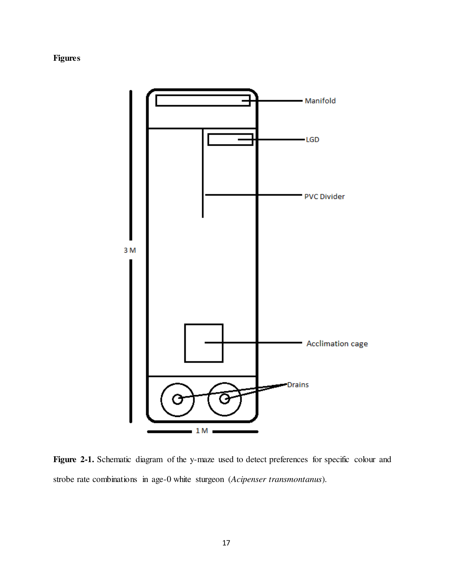# Figures



Figure 2-1. Schematic diagram of the y-maze used to detect preferences for specific colour and strobe rate combinations in age-0 white sturgeon (Acipenser transmontanus).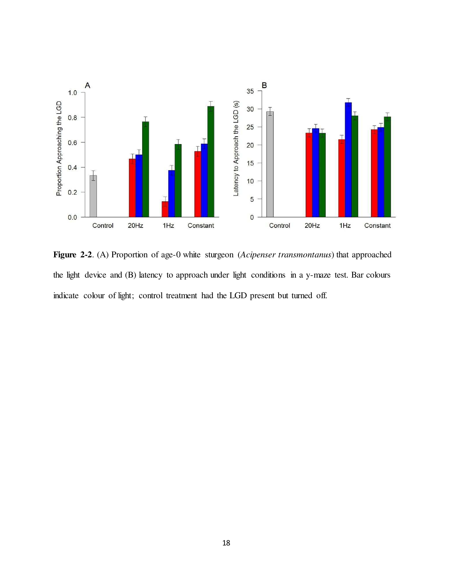

Figure 2-2. (A) Proportion of age-0 white sturgeon (Acipenser transmontanus) that approached the light device and (B) latency to approach under light conditions in a y-maze test. Bar colours indicate colour of light; control treatment had the LGD present but turned off.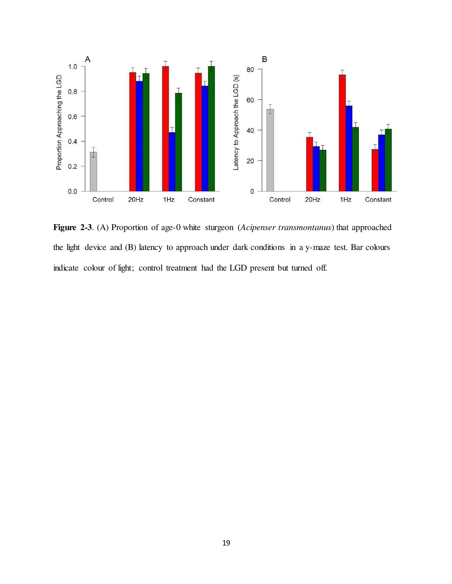

Figure 2-3. (A) Proportion of age-0 white sturgeon (Acipenser transmontanus) that approached the light device and (B) latency to approach under dark conditions in a y-maze test. Bar colours indicate colour of light; control treatment had the LGD present but turned off.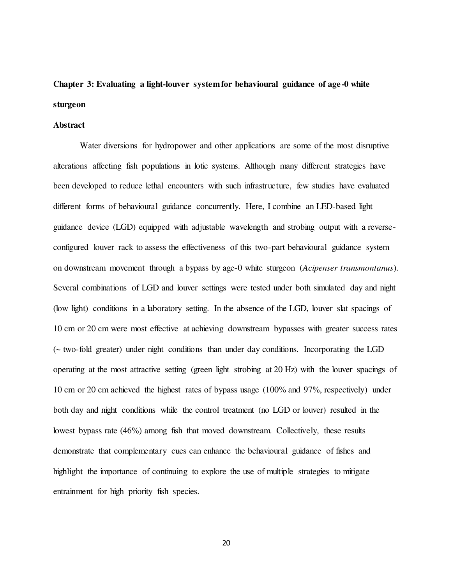# Chapter 3: Evaluating a light-louver system for behavioural guidance of age-0 white sturgeon

#### Abstract

 Water diversions for hydropower and other applications are some of the most disruptive alterations affecting fish populations in lotic systems. Although many different strategies have been developed to reduce lethal encounters with such infrastructure, few studies have evaluated different forms of behavioural guidance concurrently. Here, I combine an LED-based light guidance device (LGD) equipped with adjustable wavelength and strobing output with a reverseconfigured louver rack to assess the effectiveness of this two-part behavioural guidance system on downstream movement through a bypass by age-0 white sturgeon (Acipenser transmontanus). Several combinations of LGD and louver settings were tested under both simulated day and night (low light) conditions in a laboratory setting. In the absence of the LGD, louver slat spacings of 10 cm or 20 cm were most effective at achieving downstream bypasses with greater success rates (~ two-fold greater) under night conditions than under day conditions. Incorporating the LGD operating at the most attractive setting (green light strobing at 20 Hz) with the louver spacings of 10 cm or 20 cm achieved the highest rates of bypass usage (100% and 97%, respectively) under both day and night conditions while the control treatment (no LGD or louver) resulted in the lowest bypass rate (46%) among fish that moved downstream. Collectively, these results demonstrate that complementary cues can enhance the behavioural guidance of fishes and highlight the importance of continuing to explore the use of multiple strategies to mitigate entrainment for high priority fish species.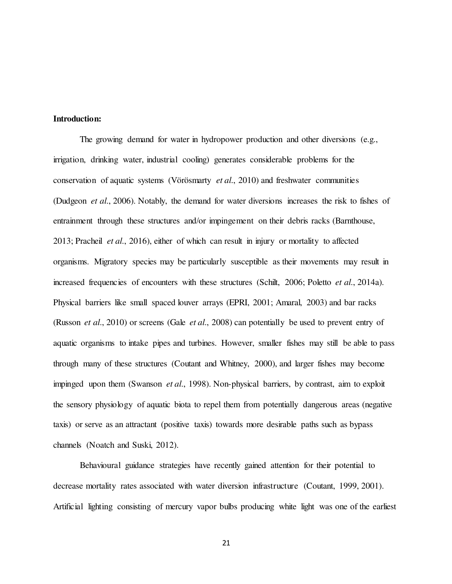#### Introduction:

 The growing demand for water in hydropower production and other diversions (e.g., irrigation, drinking water, industrial cooling) generates considerable problems for the conservation of aquatic systems (Vörösmarty et al., 2010) and freshwater communities (Dudgeon et al., 2006). Notably, the demand for water diversions increases the risk to fishes of entrainment through these structures and/or impingement on their debris racks (Barnthouse, 2013; Pracheil et al., 2016), either of which can result in injury or mortality to affected organisms. Migratory species may be particularly susceptible as their movements may result in increased frequencies of encounters with these structures (Schilt, 2006; Poletto *et al.*, 2014a). Physical barriers like small spaced louver arrays (EPRI, 2001; Amaral, 2003) and bar racks (Russon *et al.*, 2010) or screens (Gale *et al.*, 2008) can potentially be used to prevent entry of aquatic organisms to intake pipes and turbines. However, smaller fishes may still be able to pass through many of these structures (Coutant and Whitney, 2000), and larger fishes may become impinged upon them (Swanson et al., 1998). Non-physical barriers, by contrast, aim to exploit the sensory physiology of aquatic biota to repel them from potentially dangerous areas (negative taxis) or serve as an attractant (positive taxis) towards more desirable paths such as bypass channels (Noatch and Suski, 2012).

Behavioural guidance strategies have recently gained attention for their potential to decrease mortality rates associated with water diversion infrastructure (Coutant, 1999, 2001). Artificial lighting consisting of mercury vapor bulbs producing white light was one of the earliest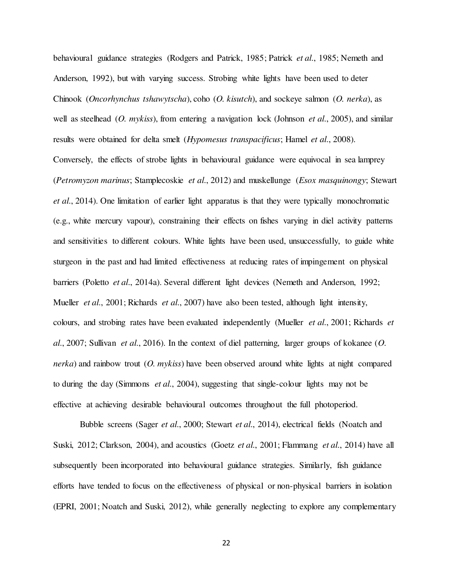behavioural guidance strategies (Rodgers and Patrick, 1985; Patrick *et al.*, 1985; Nemeth and Anderson, 1992), but with varying success. Strobing white lights have been used to deter Chinook (Oncorhynchus tshawytscha), coho (O. kisutch), and sockeye salmon (O. nerka), as well as steelhead  $(O.$  mykiss), from entering a navigation lock (Johnson *et al.*, 2005), and similar results were obtained for delta smelt (Hypomesus transpacificus; Hamel et al., 2008). Conversely, the effects of strobe lights in behavioural guidance were equivocal in sea lamprey (Petromyzon marinus; Stamplecoskie et al., 2012) and muskellunge (*Esox masquinongy*; Stewart et al., 2014). One limitation of earlier light apparatus is that they were typically monochromatic (e.g., white mercury vapour), constraining their effects on fishes varying in diel activity patterns and sensitivities to different colours. White lights have been used, unsuccessfully, to guide white sturgeon in the past and had limited effectiveness at reducing rates of impingement on physical barriers (Poletto *et al.*, 2014a). Several different light devices (Nemeth and Anderson, 1992; Mueller *et al.*, 2001; Richards *et al.*, 2007) have also been tested, although light intensity, colours, and strobing rates have been evaluated independently (Mueller et al., 2001; Richards et al., 2007; Sullivan et al., 2016). In the context of diel patterning, larger groups of kokanee  $(O.$ *nerka*) and rainbow trout  $(O. \,$ *mykiss*) have been observed around white lights at night compared to during the day (Simmons *et al.*, 2004), suggesting that single-colour lights may not be effective at achieving desirable behavioural outcomes throughout the full photoperiod.

Bubble screens (Sager *et al.*, 2000; Stewart *et al.*, 2014), electrical fields (Noatch and Suski, 2012; Clarkson, 2004), and acoustics (Goetz *et al.*, 2001; Flammang *et al.*, 2014) have all subsequently been incorporated into behavioural guidance strategies. Similarly, fish guidance efforts have tended to focus on the effectiveness of physical or non-physical barriers in isolation (EPRI, 2001; Noatch and Suski, 2012), while generally neglecting to explore any complementary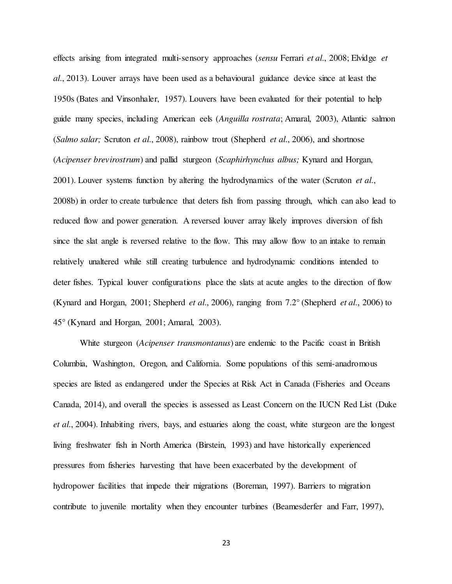effects arising from integrated multi-sensory approaches (sensu Ferrari et al., 2008; Elvidge et al., 2013). Louver arrays have been used as a behavioural guidance device since at least the 1950s (Bates and Vinsonhaler, 1957). Louvers have been evaluated for their potential to help guide many species, including American eels (Anguilla rostrata; Amaral, 2003), Atlantic salmon (Salmo salar; Scruton et al., 2008), rainbow trout (Shepherd et al., 2006), and shortnose (Acipenser brevirostrum) and pallid sturgeon (Scaphirhynchus albus; Kynard and Horgan, 2001). Louver systems function by altering the hydrodynamics of the water (Scruton *et al.*, 2008b) in order to create turbulence that deters fish from passing through, which can also lead to reduced flow and power generation. A reversed louver array likely improves diversion of fish since the slat angle is reversed relative to the flow. This may allow flow to an intake to remain relatively unaltered while still creating turbulence and hydrodynamic conditions intended to deter fishes. Typical louver configurations place the slats at acute angles to the direction of flow (Kynard and Horgan, 2001; Shepherd *et al.*, 2006), ranging from  $7.2^{\circ}$  (Shepherd *et al.*, 2006) to 45° (Kynard and Horgan, 2001; Amaral, 2003).

White sturgeon (Acipenser transmontanus) are endemic to the Pacific coast in British Columbia, Washington, Oregon, and California. Some populations of this semi-anadromous species are listed as endangered under the Species at Risk Act in Canada (Fisheries and Oceans Canada, 2014), and overall the species is assessed as Least Concern on the IUCN Red List (Duke et al., 2004). Inhabiting rivers, bays, and estuaries along the coast, white sturgeon are the longest living freshwater fish in North America (Birstein, 1993) and have historically experienced pressures from fisheries harvesting that have been exacerbated by the development of hydropower facilities that impede their migrations (Boreman, 1997). Barriers to migration contribute to juvenile mortality when they encounter turbines (Beamesderfer and Farr, 1997),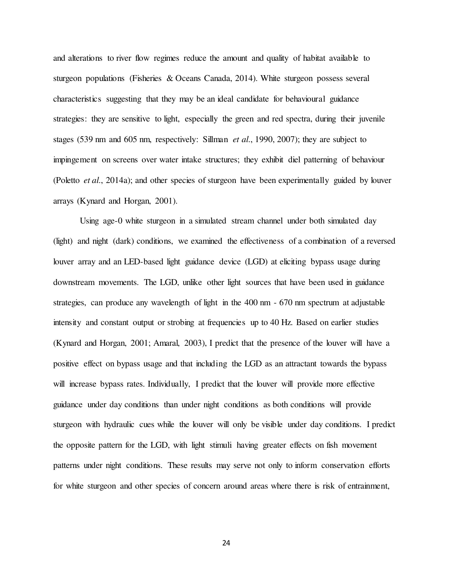and alterations to river flow regimes reduce the amount and quality of habitat available to sturgeon populations (Fisheries & Oceans Canada, 2014). White sturgeon possess several characteristics suggesting that they may be an ideal candidate for behavioural guidance strategies: they are sensitive to light, especially the green and red spectra, during their juvenile stages (539 nm and 605 nm, respectively: Sillman et al., 1990, 2007); they are subject to impingement on screens over water intake structures; they exhibit diel patterning of behaviour (Poletto et al., 2014a); and other species of sturgeon have been experimentally guided by louver arrays (Kynard and Horgan, 2001).

Using age-0 white sturgeon in a simulated stream channel under both simulated day (light) and night (dark) conditions, we examined the effectiveness of a combination of a reversed louver array and an LED-based light guidance device (LGD) at eliciting bypass usage during downstream movements. The LGD, unlike other light sources that have been used in guidance strategies, can produce any wavelength of light in the 400 nm - 670 nm spectrum at adjustable intensity and constant output or strobing at frequencies up to 40 Hz. Based on earlier studies (Kynard and Horgan, 2001; Amaral, 2003), I predict that the presence of the louver will have a positive effect on bypass usage and that including the LGD as an attractant towards the bypass will increase bypass rates. Individually, I predict that the louver will provide more effective guidance under day conditions than under night conditions as both conditions will provide sturgeon with hydraulic cues while the louver will only be visible under day conditions. I predict the opposite pattern for the LGD, with light stimuli having greater effects on fish movement patterns under night conditions. These results may serve not only to inform conservation efforts for white sturgeon and other species of concern around areas where there is risk of entrainment,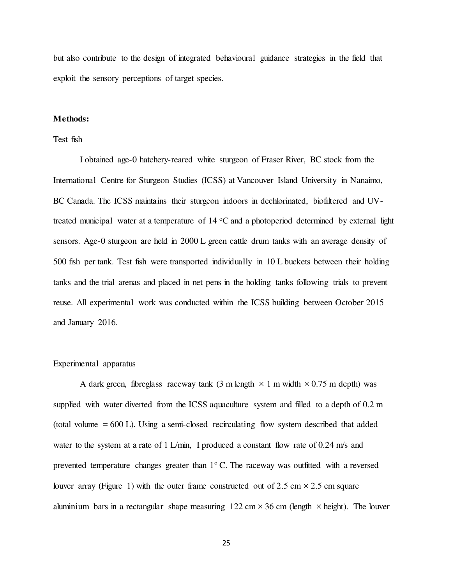but also contribute to the design of integrated behavioural guidance strategies in the field that exploit the sensory perceptions of target species.

# Methods:

# Test fish

I obtained age-0 hatchery-reared white sturgeon of Fraser River, BC stock from the International Centre for Sturgeon Studies (ICSS) at Vancouver Island University in Nanaimo, BC Canada. The ICSS maintains their sturgeon indoors in dechlorinated, biofiltered and UVtreated municipal water at a temperature of  $14 \,^{\circ}\text{C}$  and a photoperiod determined by external light sensors. Age-0 sturgeon are held in 2000 L green cattle drum tanks with an average density of 500 fish per tank. Test fish were transported individually in 10 L buckets between their holding tanks and the trial arenas and placed in net pens in the holding tanks following trials to prevent reuse. All experimental work was conducted within the ICSS building between October 2015 and January 2016.

#### Experimental apparatus

A dark green, fibreglass raceway tank (3 m length  $\times$  1 m width  $\times$  0.75 m depth) was supplied with water diverted from the ICSS aquaculture system and filled to a depth of 0.2 m (total volume  $= 600$  L). Using a semi-closed recirculating flow system described that added water to the system at a rate of 1 L/min, I produced a constant flow rate of 0.24 m/s and prevented temperature changes greater than 1° C. The raceway was outfitted with a reversed louver array (Figure 1) with the outer frame constructed out of 2.5 cm  $\times$  2.5 cm square aluminium bars in a rectangular shape measuring  $122 \text{ cm} \times 36 \text{ cm}$  (length  $\times$  height). The louver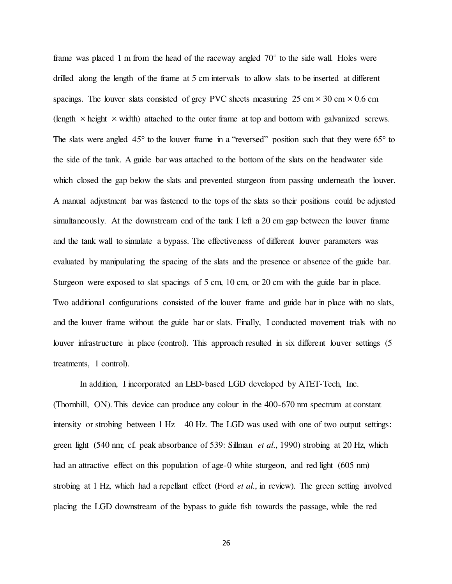frame was placed 1 m from the head of the raceway angled 70° to the side wall. Holes were drilled along the length of the frame at 5 cm intervals to allow slats to be inserted at different spacings. The louver slats consisted of grey PVC sheets measuring  $25 \text{ cm} \times 30 \text{ cm} \times 0.6 \text{ cm}$ (length  $\times$  height  $\times$  width) attached to the outer frame at top and bottom with galvanized screws. The slats were angled  $45^{\circ}$  to the louver frame in a "reversed" position such that they were  $65^{\circ}$  to the side of the tank. A guide bar was attached to the bottom of the slats on the headwater side which closed the gap below the slats and prevented sturgeon from passing underneath the louver. A manual adjustment bar was fastened to the tops of the slats so their positions could be adjusted simultaneously. At the downstream end of the tank I left a 20 cm gap between the louver frame and the tank wall to simulate a bypass. The effectiveness of different louver parameters was evaluated by manipulating the spacing of the slats and the presence or absence of the guide bar. Sturgeon were exposed to slat spacings of 5 cm, 10 cm, or 20 cm with the guide bar in place. Two additional configurations consisted of the louver frame and guide bar in place with no slats, and the louver frame without the guide bar or slats. Finally, I conducted movement trials with no louver infrastructure in place (control). This approach resulted in six different louver settings (5 treatments, 1 control).

In addition, I incorporated an LED-based LGD developed by ATET-Tech, Inc. (Thornhill, ON). This device can produce any colour in the 400-670 nm spectrum at constant intensity or strobing between  $1 \text{ Hz} - 40 \text{ Hz}$ . The LGD was used with one of two output settings: green light (540 nm; cf. peak absorbance of 539: Sillman *et al.*, 1990) strobing at 20 Hz, which had an attractive effect on this population of age-0 white sturgeon, and red light (605 nm) strobing at 1 Hz, which had a repellant effect (Ford *et al.*, in review). The green setting involved placing the LGD downstream of the bypass to guide fish towards the passage, while the red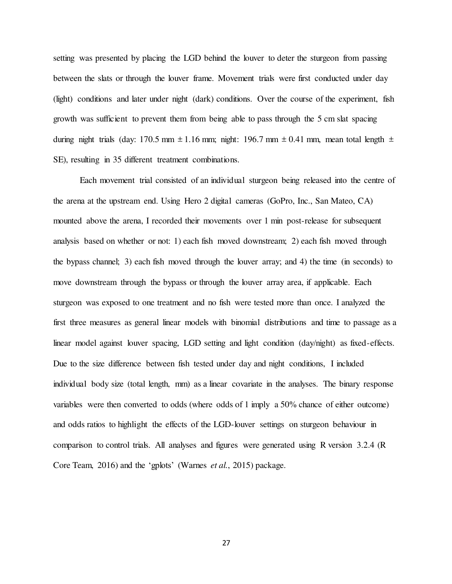setting was presented by placing the LGD behind the louver to deter the sturgeon from passing between the slats or through the louver frame. Movement trials were first conducted under day (light) conditions and later under night (dark) conditions. Over the course of the experiment, fish growth was sufficient to prevent them from being able to pass through the 5 cm slat spacing during night trials (day: 170.5 mm  $\pm$  1.16 mm; night: 196.7 mm  $\pm$  0.41 mm, mean total length  $\pm$ SE), resulting in 35 different treatment combinations.

Each movement trial consisted of an individual sturgeon being released into the centre of the arena at the upstream end. Using Hero 2 digital cameras (GoPro, Inc., San Mateo, CA) mounted above the arena, I recorded their movements over 1 min post-release for subsequent analysis based on whether or not: 1) each fish moved downstream; 2) each fish moved through the bypass channel; 3) each fish moved through the louver array; and 4) the time (in seconds) to move downstream through the bypass or through the louver array area, if applicable. Each sturgeon was exposed to one treatment and no fish were tested more than once. I analyzed the first three measures as general linear models with binomial distributions and time to passage as a linear model against louver spacing, LGD setting and light condition (day/night) as fixed-effects. Due to the size difference between fish tested under day and night conditions, I included individual body size (total length, mm) as a linear covariate in the analyses. The binary response variables were then converted to odds (where odds of 1 imply a 50% chance of either outcome) and odds ratios to highlight the effects of the LGD-louver settings on sturgeon behaviour in comparison to control trials. All analyses and figures were generated using R version 3.2.4 (R Core Team, 2016) and the 'gplots' (Warnes et al., 2015) package.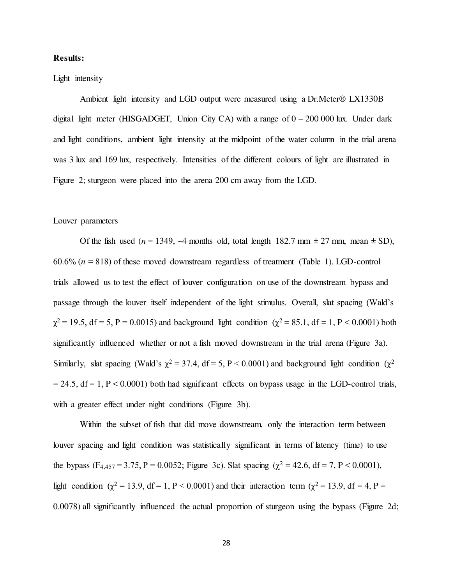# Results:

# Light intensity

Ambient light intensity and LGD output were measured using a Dr.Meter® LX1330B digital light meter (HISGADGET, Union City CA) with a range of  $0 - 200000$  lux. Under dark and light conditions, ambient light intensity at the midpoint of the water column in the trial arena was 3 lux and 169 lux, respectively. Intensities of the different colours of light are illustrated in Figure 2; sturgeon were placed into the arena 200 cm away from the LGD.

#### Louver parameters

Of the fish used ( $n = 1349$ , ~4 months old, total length 182.7 mm  $\pm 27$  mm, mean  $\pm$  SD),  $60.6\%$  ( $n = 818$ ) of these moved downstream regardless of treatment (Table 1). LGD-control trials allowed us to test the effect of louver configuration on use of the downstream bypass and passage through the louver itself independent of the light stimulus. Overall, slat spacing (Wald's  $\chi^2$  = 19.5, df = 5, P = 0.0015) and background light condition ( $\chi^2$  = 85.1, df = 1, P < 0.0001) both significantly influenced whether or not a fish moved downstream in the trial arena (Figure 3a). Similarly, slat spacing (Wald's  $\chi^2 = 37.4$ , df = 5, P < 0.0001) and background light condition ( $\chi^2$  $= 24.5$ , df = 1, P < 0.0001) both had significant effects on bypass usage in the LGD-control trials, with a greater effect under night conditions (Figure 3b).

Within the subset of fish that did move downstream, only the interaction term between louver spacing and light condition was statistically significant in terms of latency (time) to use the bypass  $(F_{4,457} = 3.75, P = 0.0052$ ; Figure 3c). Slat spacing  $(\chi^2 = 42.6, df = 7, P < 0.0001)$ , light condition ( $\chi^2 = 13.9$ , df = 1, P < 0.0001) and their interaction term ( $\chi^2 = 13.9$ , df = 4, P = 0.0078) all significantly influenced the actual proportion of sturgeon using the bypass (Figure 2d;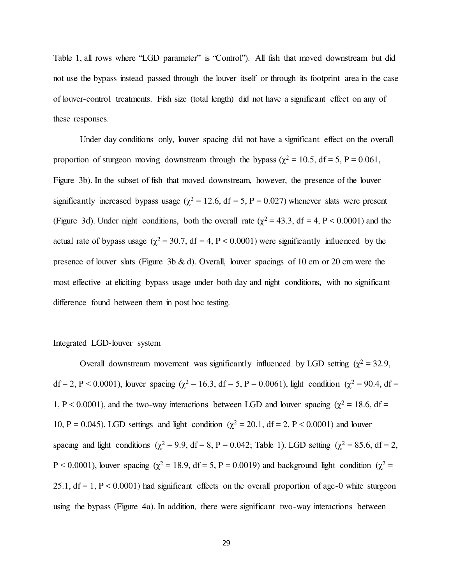Table 1, all rows where "LGD parameter" is "Control"). All fish that moved downstream but did not use the bypass instead passed through the louver itself or through its footprint area in the case of louver-control treatments. Fish size (total length) did not have a significant effect on any of these responses.

 Under day conditions only, louver spacing did not have a significant effect on the overall proportion of sturgeon moving downstream through the bypass ( $\chi^2 = 10.5$ , df = 5, P = 0.061, Figure 3b). In the subset of fish that moved downstream, however, the presence of the louver significantly increased bypass usage ( $\chi^2 = 12.6$ , df = 5, P = 0.027) whenever slats were present (Figure 3d). Under night conditions, both the overall rate ( $\chi^2$  = 43.3, df = 4, P < 0.0001) and the actual rate of bypass usage ( $\chi^2$  = 30.7, df = 4, P < 0.0001) were significantly influenced by the presence of louver slats (Figure 3b  $\&$  d). Overall, louver spacings of 10 cm or 20 cm were the most effective at eliciting bypass usage under both day and night conditions, with no significant difference found between them in post hoc testing.

# Integrated LGD-louver system

Overall downstream movement was significantly influenced by LGD setting ( $\chi^2$  = 32.9,  $df = 2$ , P < 0.0001), louver spacing ( $\chi^2 = 16.3$ , df = 5, P = 0.0061), light condition ( $\chi^2 = 90.4$ , df = 1, P < 0.0001), and the two-way interactions between LGD and louver spacing ( $\chi^2$  = 18.6, df = 10, P = 0.045), LGD settings and light condition ( $\chi^2$  = 20.1, df = 2, P < 0.0001) and louver spacing and light conditions ( $\chi^2 = 9.9$ , df = 8, P = 0.042; Table 1). LGD setting ( $\chi^2 = 85.6$ , df = 2,  $P < 0.0001$ ), louver spacing ( $\chi^2 = 18.9$ , df = 5, P = 0.0019) and background light condition ( $\chi^2 =$ 25.1,  $df = 1$ ,  $P < 0.0001$ ) had significant effects on the overall proportion of age-0 white sturgeon using the bypass (Figure 4a). In addition, there were significant two-way interactions between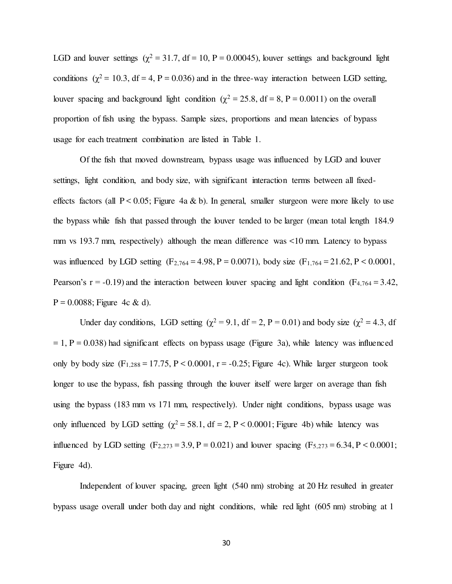LGD and louver settings  $(\chi^2 = 31.7, df = 10, P = 0.00045)$ , louver settings and background light conditions ( $\chi^2$  = 10.3, df = 4, P = 0.036) and in the three-way interaction between LGD setting, louver spacing and background light condition ( $\chi^2 = 25.8$ , df = 8, P = 0.0011) on the overall proportion of fish using the bypass. Sample sizes, proportions and mean latencies of bypass usage for each treatment combination are listed in Table 1.

 Of the fish that moved downstream, bypass usage was influenced by LGD and louver settings, light condition, and body size, with significant interaction terms between all fixedeffects factors (all  $P < 0.05$ ; Figure 4a & b). In general, smaller sturgeon were more likely to use the bypass while fish that passed through the louver tended to be larger (mean total length 184.9 mm vs 193.7 mm, respectively) although the mean difference was <10 mm. Latency to bypass was influenced by LGD setting  $(F_{2,764} = 4.98, P = 0.0071)$ , body size  $(F_{1,764} = 21.62, P < 0.0001$ , Pearson's  $r = -0.19$ ) and the interaction between louver spacing and light condition (F<sub>4,764</sub> = 3.42,  $P = 0.0088$ ; Figure 4c & d).

Under day conditions, LGD setting  $(\chi^2 = 9.1, df = 2, P = 0.01)$  and body size  $(\chi^2 = 4.3, df)$  $= 1$ , P = 0.038) had significant effects on bypass usage (Figure 3a), while latency was influenced only by body size  $(F_{1,288} = 17.75, P \le 0.0001, r = -0.25;$  Figure 4c). While larger sturgeon took longer to use the bypass, fish passing through the louver itself were larger on average than fish using the bypass (183 mm vs 171 mm, respectively). Under night conditions, bypass usage was only influenced by LGD setting  $(\chi^2 = 58.1, df = 2, P < 0.0001;$  Figure 4b) while latency was influenced by LGD setting  $(F_{2,273} = 3.9, P = 0.021)$  and louver spacing  $(F_{5,273} = 6.34, P < 0.0001;$ Figure 4d).

 Independent of louver spacing, green light (540 nm) strobing at 20 Hz resulted in greater bypass usage overall under both day and night conditions, while red light (605 nm) strobing at 1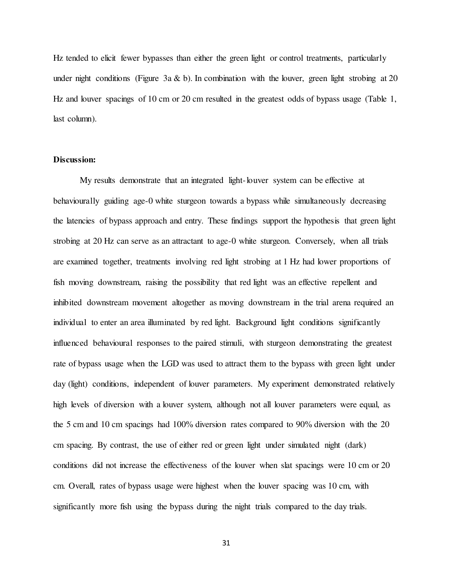Hz tended to elicit fewer bypasses than either the green light or control treatments, particularly under night conditions (Figure 3a & b). In combination with the louver, green light strobing at 20 Hz and louver spacings of 10 cm or 20 cm resulted in the greatest odds of bypass usage (Table 1, last column).

# Discussion:

My results demonstrate that an integrated light-louver system can be effective at behaviourally guiding age-0 white sturgeon towards a bypass while simultaneously decreasing the latencies of bypass approach and entry. These findings support the hypothesis that green light strobing at 20 Hz can serve as an attractant to age-0 white sturgeon. Conversely, when all trials are examined together, treatments involving red light strobing at 1 Hz had lower proportions of fish moving downstream, raising the possibility that red light was an effective repellent and inhibited downstream movement altogether as moving downstream in the trial arena required an individual to enter an area illuminated by red light. Background light conditions significantly influenced behavioural responses to the paired stimuli, with sturgeon demonstrating the greatest rate of bypass usage when the LGD was used to attract them to the bypass with green light under day (light) conditions, independent of louver parameters. My experiment demonstrated relatively high levels of diversion with a louver system, although not all louver parameters were equal, as the 5 cm and 10 cm spacings had 100% diversion rates compared to 90% diversion with the 20 cm spacing. By contrast, the use of either red or green light under simulated night (dark) conditions did not increase the effectiveness of the louver when slat spacings were 10 cm or 20 cm. Overall, rates of bypass usage were highest when the louver spacing was 10 cm, with significantly more fish using the bypass during the night trials compared to the day trials.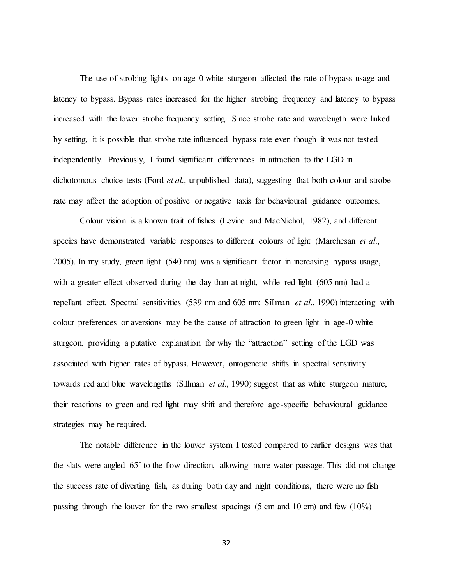The use of strobing lights on age-0 white sturgeon affected the rate of bypass usage and latency to bypass. Bypass rates increased for the higher strobing frequency and latency to bypass increased with the lower strobe frequency setting. Since strobe rate and wavelength were linked by setting, it is possible that strobe rate influenced bypass rate even though it was not tested independently. Previously, I found significant differences in attraction to the LGD in dichotomous choice tests (Ford *et al.*, unpublished data), suggesting that both colour and strobe rate may affect the adoption of positive or negative taxis for behavioural guidance outcomes.

Colour vision is a known trait of fishes (Levine and MacNichol, 1982), and different species have demonstrated variable responses to different colours of light (Marchesan et al., 2005). In my study, green light (540 nm) was a significant factor in increasing bypass usage, with a greater effect observed during the day than at night, while red light (605 nm) had a repellant effect. Spectral sensitivities (539 nm and 605 nm: Sillman et al., 1990) interacting with colour preferences or aversions may be the cause of attraction to green light in age-0 white sturgeon, providing a putative explanation for why the "attraction" setting of the LGD was associated with higher rates of bypass. However, ontogenetic shifts in spectral sensitivity towards red and blue wavelengths (Sillman et al., 1990) suggest that as white sturgeon mature, their reactions to green and red light may shift and therefore age-specific behavioural guidance strategies may be required.

 The notable difference in the louver system I tested compared to earlier designs was that the slats were angled 65° to the flow direction, allowing more water passage. This did not change the success rate of diverting fish, as during both day and night conditions, there were no fish passing through the louver for the two smallest spacings (5 cm and 10 cm) and few (10%)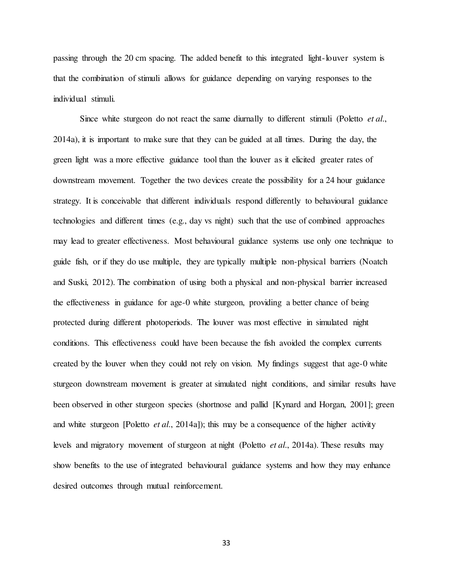passing through the 20 cm spacing. The added benefit to this integrated light-louver system is that the combination of stimuli allows for guidance depending on varying responses to the individual stimuli.

Since white sturgeon do not react the same diurnally to different stimuli (Poletto *et al.*, 2014a), it is important to make sure that they can be guided at all times. During the day, the green light was a more effective guidance tool than the louver as it elicited greater rates of downstream movement. Together the two devices create the possibility for a 24 hour guidance strategy. It is conceivable that different individuals respond differently to behavioural guidance technologies and different times (e.g., day vs night) such that the use of combined approaches may lead to greater effectiveness. Most behavioural guidance systems use only one technique to guide fish, or if they do use multiple, they are typically multiple non-physical barriers (Noatch and Suski, 2012). The combination of using both a physical and non-physical barrier increased the effectiveness in guidance for age-0 white sturgeon, providing a better chance of being protected during different photoperiods. The louver was most effective in simulated night conditions. This effectiveness could have been because the fish avoided the complex currents created by the louver when they could not rely on vision. My findings suggest that age-0 white sturgeon downstream movement is greater at simulated night conditions, and similar results have been observed in other sturgeon species (shortnose and pallid [Kynard and Horgan, 2001]; green and white sturgeon [Poletto *et al.*, 2014a]); this may be a consequence of the higher activity levels and migratory movement of sturgeon at night (Poletto et al., 2014a). These results may show benefits to the use of integrated behavioural guidance systems and how they may enhance desired outcomes through mutual reinforcement.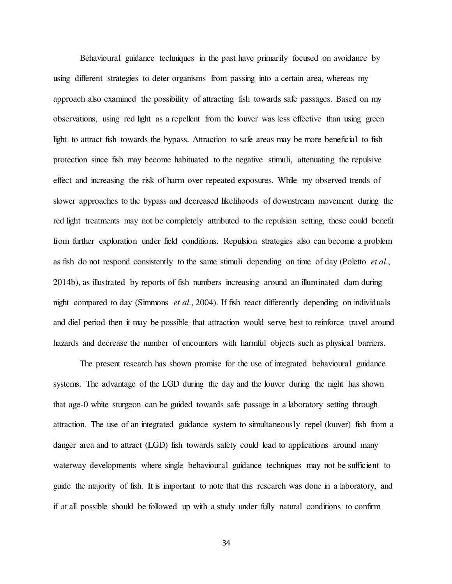Behavioural guidance techniques in the past have primarily focused on avoidance by using different strategies to deter organisms from passing into a certain area, whereas my approach also examined the possibility of attracting fish towards safe passages. Based on my observations, using red light as a repellent from the louver was less effective than using green light to attract fish towards the bypass. Attraction to safe areas may be more beneficial to fish protection since fish may become habituated to the negative stimuli, attenuating the repulsive effect and increasing the risk of harm over repeated exposures. While my observed trends of slower approaches to the bypass and decreased likelihoods of downstream movement during the red light treatments may not be completely attributed to the repulsion setting, these could benefit from further exploration under field conditions. Repulsion strategies also can become a problem as fish do not respond consistently to the same stimuli depending on time of day (Poletto *et al.*, 2014b), as illustrated by reports of fish numbers increasing around an illuminated dam during night compared to day (Simmons *et al.*, 2004). If fish react differently depending on individuals and diel period then it may be possible that attraction would serve best to reinforce travel around hazards and decrease the number of encounters with harmful objects such as physical barriers.

 The present research has shown promise for the use of integrated behavioural guidance systems. The advantage of the LGD during the day and the louver during the night has shown that age-0 white sturgeon can be guided towards safe passage in a laboratory setting through attraction. The use of an integrated guidance system to simultaneously repel (louver) fish from a danger area and to attract (LGD) fish towards safety could lead to applications around many waterway developments where single behavioural guidance techniques may not be sufficient to guide the majority of fish. It is important to note that this research was done in a laboratory, and if at all possible should be followed up with a study under fully natural conditions to confirm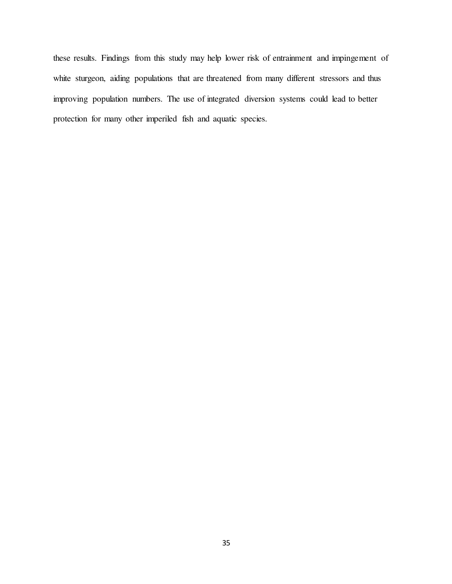these results. Findings from this study may help lower risk of entrainment and impingement of white sturgeon, aiding populations that are threatened from many different stressors and thus improving population numbers. The use of integrated diversion systems could lead to better protection for many other imperiled fish and aquatic species.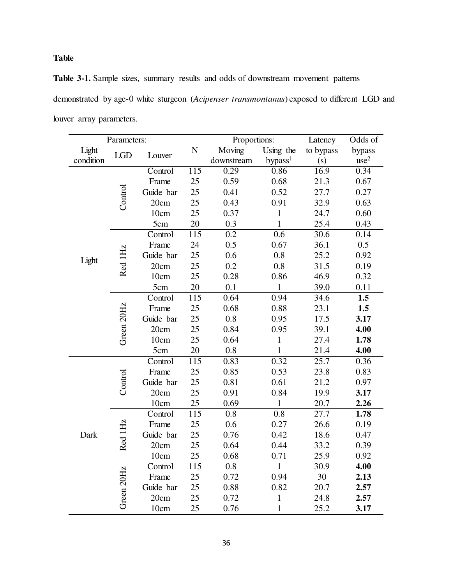# Table

Table 3-1. Sample sizes, summary results and odds of downstream movement patterns demonstrated by age-0 white sturgeon (Acipenser transmontanus) exposed to different LGD and louver array parameters.

| Parameters:        |            |           |                  | Proportions:     |                     | Latency   | Odds of          |
|--------------------|------------|-----------|------------------|------------------|---------------------|-----------|------------------|
| Light<br>condition | LGD        | Louver    | $\mathbf N$      | Moving           | Using the           | to bypass | bypass           |
|                    |            |           |                  | downstream       | bypass <sup>1</sup> | (s)       | use <sup>2</sup> |
| Light              | Control    | Control   | $\overline{115}$ | 0.29             | 0.86                | 16.9      | 0.34             |
|                    |            | Frame     | 25               | 0.59             | 0.68                | 21.3      | 0.67             |
|                    |            | Guide bar | 25               | 0.41             | 0.52                | 27.7      | 0.27             |
|                    |            | 20cm      | 25               | 0.43             | 0.91                | 32.9      | 0.63             |
|                    |            | 10cm      | 25               | 0.37             | $\mathbf{1}$        | 24.7      | 0.60             |
|                    |            | 5cm       | 20               | 0.3              | $\mathbf{1}$        | 25.4      | 0.43             |
|                    | Red 1Hz    | Control   | 115              | 0.2              | 0.6                 | 30.6      | 0.14             |
|                    |            | Frame     | 24               | 0.5              | 0.67                | 36.1      | 0.5              |
|                    |            | Guide bar | 25               | 0.6              | 0.8                 | 25.2      | 0.92             |
|                    |            | 20cm      | 25               | 0.2              | $0.8\,$             | 31.5      | 0.19             |
|                    |            | 10cm      | 25               | 0.28             | 0.86                | 46.9      | 0.32             |
|                    |            | 5cm       | 20               | 0.1              | $\mathbf{1}$        | 39.0      | 0.11             |
|                    | Green 20Hz | Control   | 115              | 0.64             | 0.94                | 34.6      | 1.5              |
|                    |            | Frame     | 25               | 0.68             | 0.88                | 23.1      | 1.5              |
|                    |            | Guide bar | 25               | 0.8              | 0.95                | 17.5      | 3.17             |
|                    |            | 20cm      | 25               | 0.84             | 0.95                | 39.1      | 4.00             |
|                    |            | 10cm      | 25               | 0.64             | $\mathbf{1}$        | 27.4      | 1.78             |
|                    |            | 5cm       | 20               | 0.8              | $\mathbf{1}$        | 21.4      | 4.00             |
| Dark               | Control    | Control   | 115              | 0.83             | 0.32                | 25.7      | 0.36             |
|                    |            | Frame     | 25               | 0.85             | 0.53                | 23.8      | 0.83             |
|                    |            | Guide bar | 25               | 0.81             | 0.61                | 21.2      | 0.97             |
|                    |            | 20cm      | 25               | 0.91             | 0.84                | 19.9      | 3.17             |
|                    |            | 10cm      | 25               | 0.69             | $\mathbf{1}$        | 20.7      | 2.26             |
|                    | Red 1Hz    | Control   | 115              | 0.8              | 0.8                 | 27.7      | 1.78             |
|                    |            | Frame     | 25               | 0.6              | 0.27                | 26.6      | 0.19             |
|                    |            | Guide bar | 25               | 0.76             | 0.42                | 18.6      | 0.47             |
|                    |            | 20cm      | 25               | 0.64             | 0.44                | 33.2      | 0.39             |
|                    |            | 10cm      | 25               | 0.68             | 0.71                | 25.9      | 0.92             |
|                    | Green 20Hz | Control   | $\overline{115}$ | $\overline{0.8}$ | $\mathbf{1}$        | 30.9      | 4.00             |
|                    |            | Frame     | 25               | 0.72             | 0.94                | 30        | 2.13             |
|                    |            | Guide bar | 25               | 0.88             | 0.82                | 20.7      | 2.57             |
|                    |            | 20cm      | 25               | 0.72             | $\mathbf{1}$        | 24.8      | 2.57             |
|                    |            | 10cm      | 25               | 0.76             | $\mathbf{1}$        | 25.2      | 3.17             |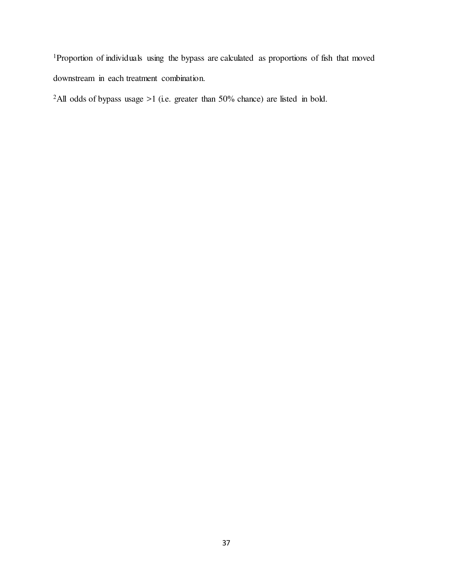<sup>1</sup>Proportion of individuals using the bypass are calculated as proportions of fish that moved downstream in each treatment combination.

<sup>2</sup>All odds of bypass usage  $>1$  (i.e. greater than 50% chance) are listed in bold.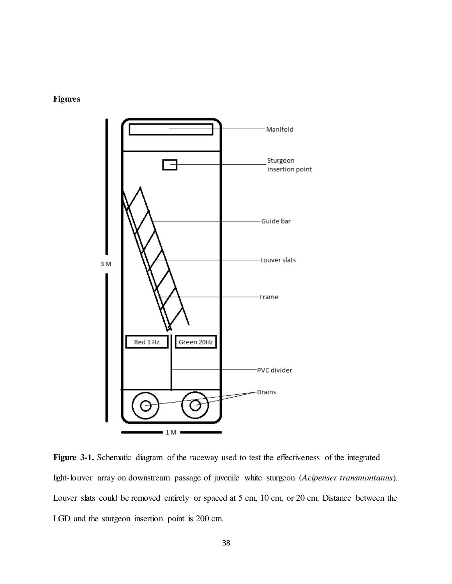



Figure 3-1. Schematic diagram of the raceway used to test the effectiveness of the integrated light-louver array on downstream passage of juvenile white sturgeon (Acipenser transmontanus). Louver slats could be removed entirely or spaced at 5 cm, 10 cm, or 20 cm. Distance between the LGD and the sturgeon insertion point is 200 cm.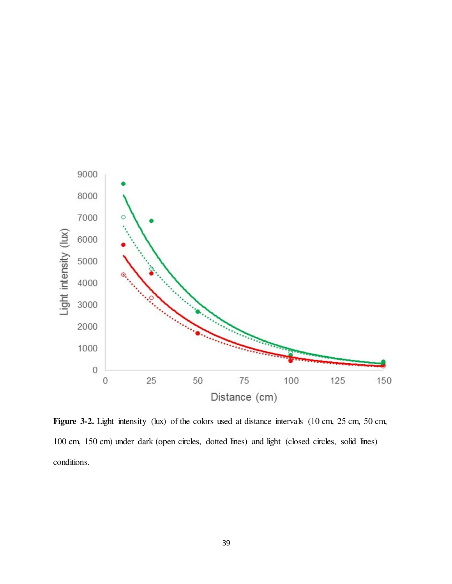

Figure 3-2. Light intensity (lux) of the colors used at distance intervals (10 cm, 25 cm, 50 cm, 100 cm, 150 cm) under dark (open circles, dotted lines) and light (closed circles, solid lines) conditions.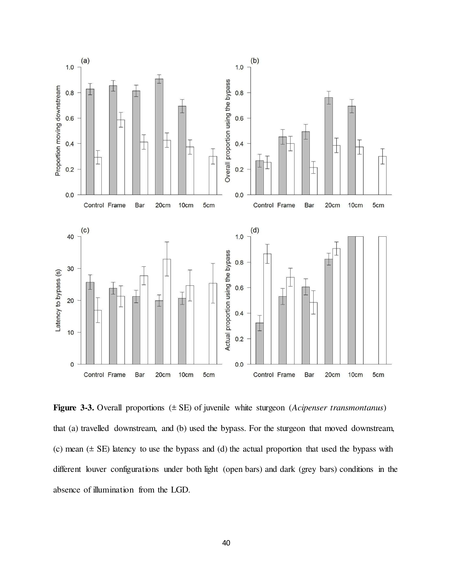

Figure 3-3. Overall proportions  $(\pm \text{ SE})$  of juvenile white sturgeon (Acipenser transmontanus) that (a) travelled downstream, and (b) used the bypass. For the sturgeon that moved downstream, (c) mean  $(\pm S)$  latency to use the bypass and (d) the actual proportion that used the bypass with different louver configurations under both light (open bars) and dark (grey bars) conditions in the absence of illumination from the LGD.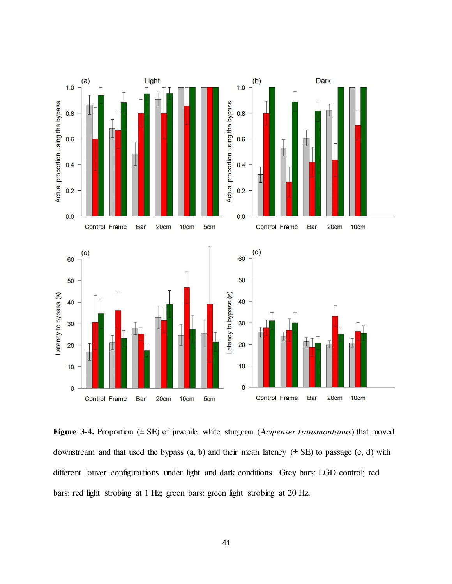

Figure 3-4. Proportion  $(\pm$  SE) of juvenile white sturgeon (Acipenser transmontanus) that moved downstream and that used the bypass  $(a, b)$  and their mean latency  $(\pm SE)$  to passage  $(c, d)$  with different louver configurations under light and dark conditions. Grey bars: LGD control; red bars: red light strobing at 1 Hz; green bars: green light strobing at 20 Hz.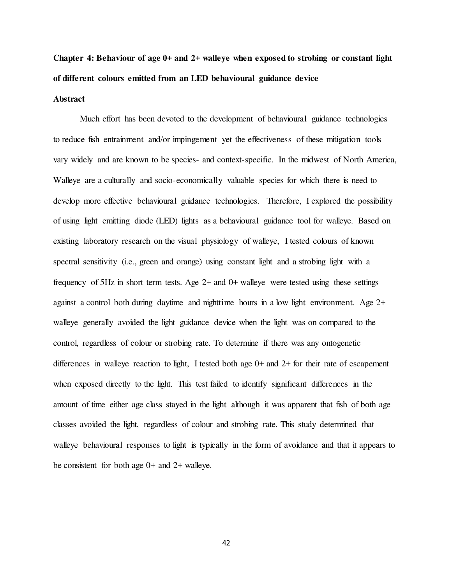# Chapter 4: Behaviour of age 0+ and 2+ walleye when exposed to strobing or constant light of different colours emitted from an LED behavioural guidance device

# **Abstract**

Much effort has been devoted to the development of behavioural guidance technologies to reduce fish entrainment and/or impingement yet the effectiveness of these mitigation tools vary widely and are known to be species- and context-specific. In the midwest of North America, Walleye are a culturally and socio-economically valuable species for which there is need to develop more effective behavioural guidance technologies. Therefore, I explored the possibility of using light emitting diode (LED) lights as a behavioural guidance tool for walleye. Based on existing laboratory research on the visual physiology of walleye, I tested colours of known spectral sensitivity (i.e., green and orange) using constant light and a strobing light with a frequency of 5Hz in short term tests. Age  $2+$  and  $0+$  walleye were tested using these settings against a control both during daytime and nighttime hours in a low light environment. Age 2+ walleye generally avoided the light guidance device when the light was on compared to the control, regardless of colour or strobing rate. To determine if there was any ontogenetic differences in walleye reaction to light, I tested both age 0+ and 2+ for their rate of escapement when exposed directly to the light. This test failed to identify significant differences in the amount of time either age class stayed in the light although it was apparent that fish of both age classes avoided the light, regardless of colour and strobing rate. This study determined that walleye behavioural responses to light is typically in the form of avoidance and that it appears to be consistent for both age 0+ and 2+ walleye.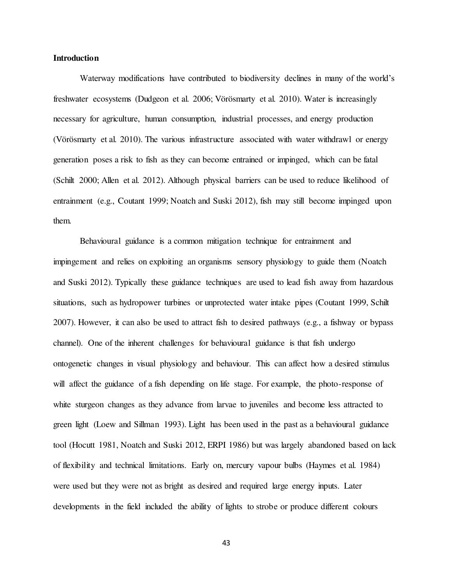# Introduction

Waterway modifications have contributed to biodiversity declines in many of the world's freshwater ecosystems (Dudgeon et al. 2006; Vörösmarty et al. 2010). Water is increasingly necessary for agriculture, human consumption, industrial processes, and energy production (Vörösmarty et al. 2010). The various infrastructure associated with water withdrawl or energy generation poses a risk to fish as they can become entrained or impinged, which can be fatal (Schilt 2000; Allen et al. 2012). Although physical barriers can be used to reduce likelihood of entrainment (e.g., Coutant 1999; Noatch and Suski 2012), fish may still become impinged upon them.

 Behavioural guidance is a common mitigation technique for entrainment and impingement and relies on exploiting an organisms sensory physiology to guide them (Noatch and Suski 2012). Typically these guidance techniques are used to lead fish away from hazardous situations, such as hydropower turbines or unprotected water intake pipes (Coutant 1999, Schilt 2007). However, it can also be used to attract fish to desired pathways (e.g., a fishway or bypass channel). One of the inherent challenges for behavioural guidance is that fish undergo ontogenetic changes in visual physiology and behaviour. This can affect how a desired stimulus will affect the guidance of a fish depending on life stage. For example, the photo-response of white sturgeon changes as they advance from larvae to juveniles and become less attracted to green light (Loew and Sillman 1993). Light has been used in the past as a behavioural guidance tool (Hocutt 1981, Noatch and Suski 2012, ERPI 1986) but was largely abandoned based on lack of flexibility and technical limitations. Early on, mercury vapour bulbs (Haymes et al. 1984) were used but they were not as bright as desired and required large energy inputs. Later developments in the field included the ability of lights to strobe or produce different colours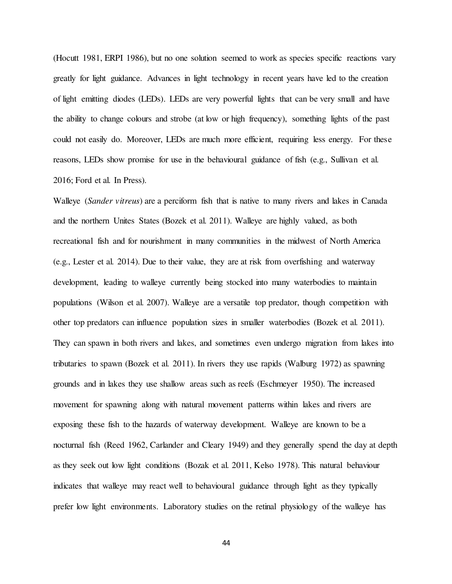(Hocutt 1981, ERPI 1986), but no one solution seemed to work as species specific reactions vary greatly for light guidance. Advances in light technology in recent years have led to the creation of light emitting diodes (LEDs). LEDs are very powerful lights that can be very small and have the ability to change colours and strobe (at low or high frequency), something lights of the past could not easily do. Moreover, LEDs are much more efficient, requiring less energy. For these reasons, LEDs show promise for use in the behavioural guidance of fish (e.g., Sullivan et al. 2016; Ford et al. In Press).

Walleye *(Sander vitreus)* are a perciform fish that is native to many rivers and lakes in Canada and the northern Unites States (Bozek et al. 2011). Walleye are highly valued, as both recreational fish and for nourishment in many communities in the midwest of North America (e.g., Lester et al. 2014). Due to their value, they are at risk from overfishing and waterway development, leading to walleye currently being stocked into many waterbodies to maintain populations (Wilson et al. 2007). Walleye are a versatile top predator, though competition with other top predators can influence population sizes in smaller waterbodies (Bozek et al. 2011). They can spawn in both rivers and lakes, and sometimes even undergo migration from lakes into tributaries to spawn (Bozek et al. 2011). In rivers they use rapids (Walburg 1972) as spawning grounds and in lakes they use shallow areas such as reefs (Eschmeyer 1950). The increased movement for spawning along with natural movement patterns within lakes and rivers are exposing these fish to the hazards of waterway development. Walleye are known to be a nocturnal fish (Reed 1962, Carlander and Cleary 1949) and they generally spend the day at depth as they seek out low light conditions (Bozak et al. 2011, Kelso 1978). This natural behaviour indicates that walleye may react well to behavioural guidance through light as they typically prefer low light environments. Laboratory studies on the retinal physiology of the walleye has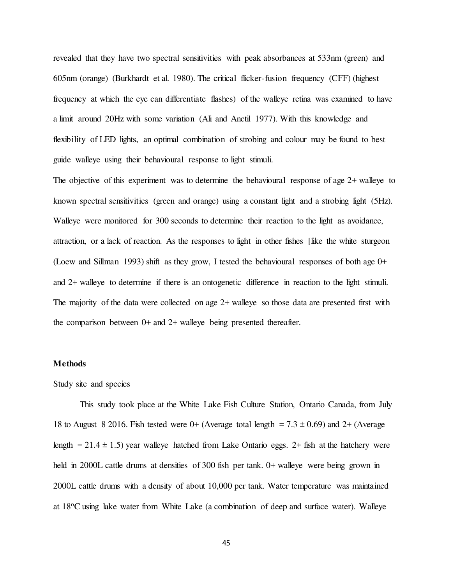revealed that they have two spectral sensitivities with peak absorbances at 533nm (green) and 605nm (orange) (Burkhardt et al. 1980). The critical flicker-fusion frequency (CFF) (highest frequency at which the eye can differentiate flashes) of the walleye retina was examined to have a limit around 20Hz with some variation (Ali and Anctil 1977). With this knowledge and flexibility of LED lights, an optimal combination of strobing and colour may be found to best guide walleye using their behavioural response to light stimuli.

The objective of this experiment was to determine the behavioural response of age 2+ walleye to known spectral sensitivities (green and orange) using a constant light and a strobing light (5Hz). Walleye were monitored for 300 seconds to determine their reaction to the light as avoidance, attraction, or a lack of reaction. As the responses to light in other fishes [like the white sturgeon (Loew and Sillman 1993) shift as they grow, I tested the behavioural responses of both age 0+ and 2+ walleye to determine if there is an ontogenetic difference in reaction to the light stimuli. The majority of the data were collected on age 2+ walleye so those data are presented first with the comparison between  $0+$  and  $2+$  walleye being presented thereafter.

#### Methods

#### Study site and species

 This study took place at the White Lake Fish Culture Station, Ontario Canada, from July 18 to August 8 2016. Fish tested were  $0+$  (Average total length = 7.3  $\pm$  0.69) and 2+ (Average length  $= 21.4 \pm 1.5$ ) year walleye hatched from Lake Ontario eggs. 2+ fish at the hatchery were held in 2000L cattle drums at densities of 300 fish per tank. 0+ walleye were being grown in 2000L cattle drums with a density of about 10,000 per tank. Water temperature was maintained at 18oC using lake water from White Lake (a combination of deep and surface water). Walleye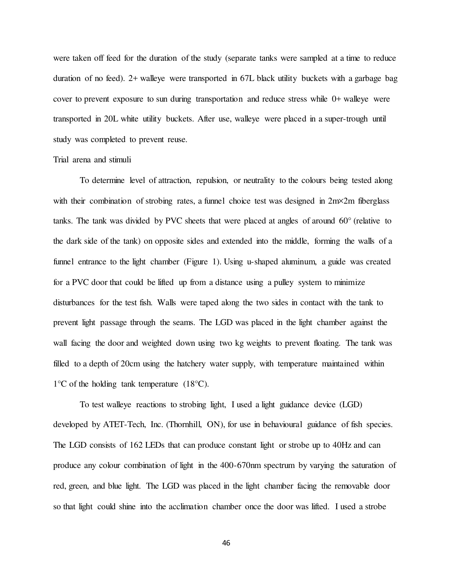were taken off feed for the duration of the study (separate tanks were sampled at a time to reduce duration of no feed). 2+ walleye were transported in 67L black utility buckets with a garbage bag cover to prevent exposure to sun during transportation and reduce stress while 0+ walleye were transported in 20L white utility buckets. After use, walleye were placed in a super-trough until study was completed to prevent reuse.

# Trial arena and stimuli

 To determine level of attraction, repulsion, or neutrality to the colours being tested along with their combination of strobing rates, a funnel choice test was designed in  $2m\times 2m$  fiberglass tanks. The tank was divided by PVC sheets that were placed at angles of around 60° (relative to the dark side of the tank) on opposite sides and extended into the middle, forming the walls of a funnel entrance to the light chamber (Figure 1). Using u-shaped aluminum, a guide was created for a PVC door that could be lifted up from a distance using a pulley system to minimize disturbances for the test fish. Walls were taped along the two sides in contact with the tank to prevent light passage through the seams. The LGD was placed in the light chamber against the wall facing the door and weighted down using two kg weights to prevent floating. The tank was filled to a depth of 20cm using the hatchery water supply, with temperature maintained within  $1^{\circ}$ C of the holding tank temperature (18 $^{\circ}$ C).

 To test walleye reactions to strobing light, I used a light guidance device (LGD) developed by ATET-Tech, Inc. (Thornhill, ON), for use in behavioural guidance of fish species. The LGD consists of 162 LEDs that can produce constant light or strobe up to 40Hz and can produce any colour combination of light in the 400-670nm spectrum by varying the saturation of red, green, and blue light. The LGD was placed in the light chamber facing the removable door so that light could shine into the acclimation chamber once the door was lifted. I used a strobe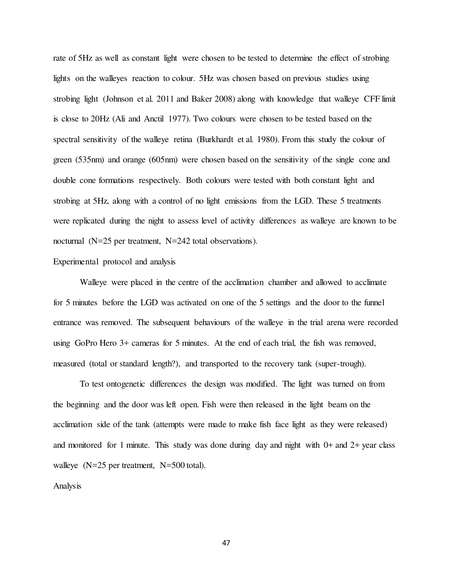rate of 5Hz as well as constant light were chosen to be tested to determine the effect of strobing lights on the walleyes reaction to colour. 5Hz was chosen based on previous studies using strobing light (Johnson et al. 2011 and Baker 2008) along with knowledge that walleye CFF limit is close to 20Hz (Ali and Anctil 1977). Two colours were chosen to be tested based on the spectral sensitivity of the walleye retina (Burkhardt et al. 1980). From this study the colour of green (535nm) and orange (605nm) were chosen based on the sensitivity of the single cone and double cone formations respectively. Both colours were tested with both constant light and strobing at 5Hz, along with a control of no light emissions from the LGD. These 5 treatments were replicated during the night to assess level of activity differences as walleye are known to be nocturnal (N=25 per treatment, N=242 total observations).

# Experimental protocol and analysis

 Walleye were placed in the centre of the acclimation chamber and allowed to acclimate for 5 minutes before the LGD was activated on one of the 5 settings and the door to the funnel entrance was removed. The subsequent behaviours of the walleye in the trial arena were recorded using GoPro Hero 3+ cameras for 5 minutes. At the end of each trial, the fish was removed, measured (total or standard length?), and transported to the recovery tank (super-trough).

 To test ontogenetic differences the design was modified. The light was turned on from the beginning and the door was left open. Fish were then released in the light beam on the acclimation side of the tank (attempts were made to make fish face light as they were released) and monitored for 1 minute. This study was done during day and night with  $0+$  and  $2+$  year class walleye (N=25 per treatment, N=500 total).

# Analysis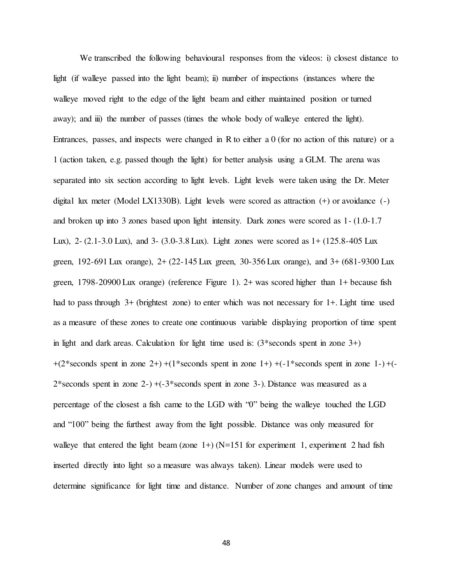We transcribed the following behavioural responses from the videos: i) closest distance to light (if walleye passed into the light beam); ii) number of inspections (instances where the walleye moved right to the edge of the light beam and either maintained position or turned away); and iii) the number of passes (times the whole body of walleye entered the light). Entrances, passes, and inspects were changed in R to either a 0 (for no action of this nature) or a 1 (action taken, e.g. passed though the light) for better analysis using a GLM. The arena was separated into six section according to light levels. Light levels were taken using the Dr. Meter digital lux meter (Model LX1330B). Light levels were scored as attraction (+) or avoidance (-) and broken up into 3 zones based upon light intensity. Dark zones were scored as 1- (1.0-1.7 Lux), 2- (2.1-3.0 Lux), and 3- (3.0-3.8 Lux). Light zones were scored as 1+ (125.8-405 Lux green, 192-691 Lux orange), 2+ (22-145 Lux green, 30-356 Lux orange), and 3+ (681-9300 Lux green, 1798-20900 Lux orange) (reference Figure 1). 2+ was scored higher than 1+ because fish had to pass through 3+ (brightest zone) to enter which was not necessary for 1+. Light time used as a measure of these zones to create one continuous variable displaying proportion of time spent in light and dark areas. Calculation for light time used is: (3\*seconds spent in zone 3+)  $+(2*seconds spent in zone 2+) + (1*seconds spent in zone 1+) + (-1*seconds spent in zone 1-) + (-1*seconds spent in zone 1+)$  $2*$ seconds spent in zone  $2$ -) +( $-3*$ seconds spent in zone  $3$ -). Distance was measured as a percentage of the closest a fish came to the LGD with "0" being the walleye touched the LGD and "100" being the furthest away from the light possible. Distance was only measured for walleye that entered the light beam (zone  $1+$ ) (N=151 for experiment 1, experiment 2 had fish inserted directly into light so a measure was always taken). Linear models were used to determine significance for light time and distance. Number of zone changes and amount of time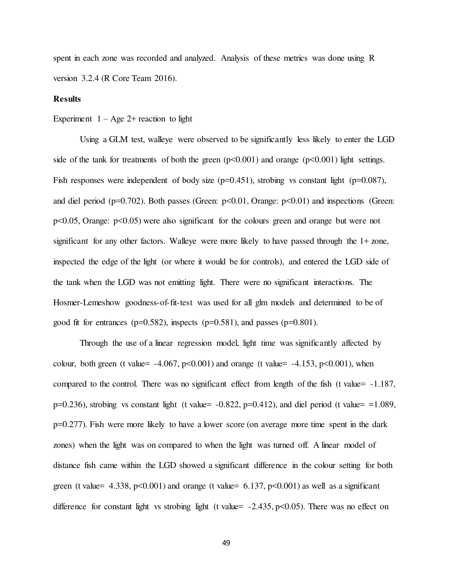spent in each zone was recorded and analyzed. Analysis of these metrics was done using R version 3.2.4 (R Core Team 2016).

# Results

Experiment  $1 - Age 2+ reaction$  to light

 Using a GLM test, walleye were observed to be significantly less likely to enter the LGD side of the tank for treatments of both the green  $(p<0.001)$  and orange  $(p<0.001)$  light settings. Fish responses were independent of body size  $(p=0.451)$ , strobing vs constant light  $(p=0.087)$ , and diel period ( $p=0.702$ ). Both passes (Green:  $p<0.01$ , Orange:  $p<0.01$ ) and inspections (Green: p<0.05, Orange: p<0.05) were also significant for the colours green and orange but were not significant for any other factors. Walleye were more likely to have passed through the  $1 + z$  zone, inspected the edge of the light (or where it would be for controls), and entered the LGD side of the tank when the LGD was not emitting light. There were no significant interactions. The Hosmer-Lemeshow goodness-of-fit-test was used for all glm models and determined to be of good fit for entrances ( $p=0.582$ ), inspects ( $p=0.581$ ), and passes ( $p=0.801$ ).

 Through the use of a linear regression model, light time was significantly affected by colour, both green (t value=  $-4.067$ , p $<0.001$ ) and orange (t value=  $-4.153$ , p $<0.001$ ), when compared to the control. There was no significant effect from length of the fish (t value= -1.187,  $p=0.236$ ), strobing vs constant light (t value=  $-0.822$ ,  $p=0.412$ ), and diel period (t value= =1.089, p=0.277). Fish were more likely to have a lower score (on average more time spent in the dark zones) when the light was on compared to when the light was turned off. A linear model of distance fish came within the LGD showed a significant difference in the colour setting for both green (t value=  $4.338$ , p<0.001) and orange (t value=  $6.137$ , p<0.001) as well as a significant difference for constant light vs strobing light (t value= $-2.435$ , p<0.05). There was no effect on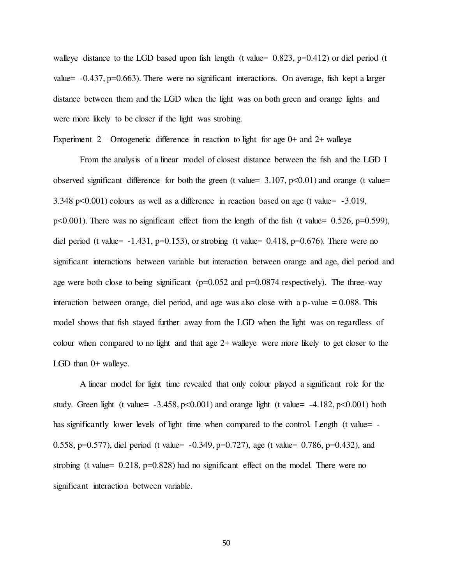walleye distance to the LGD based upon fish length (t value=  $0.823$ , p=0.412) or diel period (t value=  $-0.437$ , p=0.663). There were no significant interactions. On average, fish kept a larger distance between them and the LGD when the light was on both green and orange lights and were more likely to be closer if the light was strobing.

Experiment  $2$  – Ontogenetic difference in reaction to light for age  $0+$  and  $2+$  walleye

 From the analysis of a linear model of closest distance between the fish and the LGD I observed significant difference for both the green (t value=  $3.107$ ,  $p<0.01$ ) and orange (t value= 3.348 p<0.001) colours as well as a difference in reaction based on age (t value= -3.019, p<0.001). There was no significant effect from the length of the fish (t value= 0.526, p=0.599), diel period (t value=  $-1.431$ , p=0.153), or strobing (t value= 0.418, p=0.676). There were no significant interactions between variable but interaction between orange and age, diel period and age were both close to being significant ( $p=0.052$  and  $p=0.0874$  respectively). The three-way interaction between orange, diel period, and age was also close with a p-value  $= 0.088$ . This model shows that fish stayed further away from the LGD when the light was on regardless of colour when compared to no light and that age 2+ walleye were more likely to get closer to the LGD than  $0+$  walleye.

 A linear model for light time revealed that only colour played a significant role for the study. Green light (t value=  $-3.458$ , p $\leq 0.001$ ) and orange light (t value=  $-4.182$ , p $\leq 0.001$ ) both has significantly lower levels of light time when compared to the control. Length (t value= -0.558, p=0.577), diel period (t value= -0.349, p=0.727), age (t value= 0.786, p=0.432), and strobing (t value=  $0.218$ , p=0.828) had no significant effect on the model. There were no significant interaction between variable.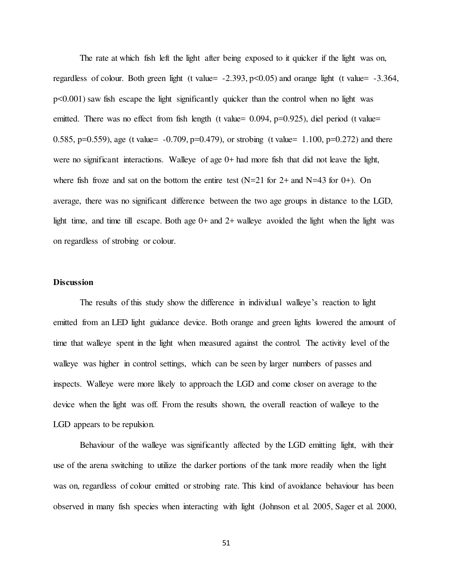The rate at which fish left the light after being exposed to it quicker if the light was on, regardless of colour. Both green light (t value=  $-2.393$ , p $\leq 0.05$ ) and orange light (t value=  $-3.364$ ,  $p\leq 0.001$ ) saw fish escape the light significantly quicker than the control when no light was emitted. There was no effect from fish length (t value=  $0.094$ , p= $0.925$ ), diel period (t value= 0.585, p=0.559), age (t value=  $-0.709$ , p=0.479), or strobing (t value= 1.100, p=0.272) and there were no significant interactions. Walleye of age 0+ had more fish that did not leave the light, where fish froze and sat on the bottom the entire test  $(N=21$  for  $2+$  and  $N=43$  for  $0+$ ). On average, there was no significant difference between the two age groups in distance to the LGD, light time, and time till escape. Both age  $0+$  and  $2+$  walleye avoided the light when the light was on regardless of strobing or colour.

# **Discussion**

The results of this study show the difference in individual walleye's reaction to light emitted from an LED light guidance device. Both orange and green lights lowered the amount of time that walleye spent in the light when measured against the control. The activity level of the walleye was higher in control settings, which can be seen by larger numbers of passes and inspects. Walleye were more likely to approach the LGD and come closer on average to the device when the light was off. From the results shown, the overall reaction of walleye to the LGD appears to be repulsion.

 Behaviour of the walleye was significantly affected by the LGD emitting light, with their use of the arena switching to utilize the darker portions of the tank more readily when the light was on, regardless of colour emitted or strobing rate. This kind of avoidance behaviour has been observed in many fish species when interacting with light (Johnson et al. 2005, Sager et al. 2000,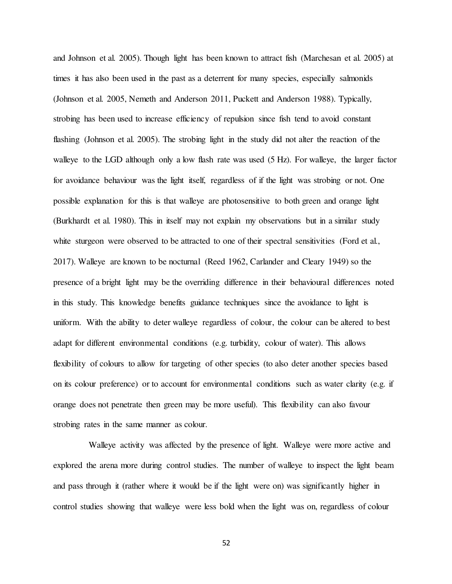and Johnson et al. 2005). Though light has been known to attract fish (Marchesan et al. 2005) at times it has also been used in the past as a deterrent for many species, especially salmonids (Johnson et al. 2005, Nemeth and Anderson 2011, Puckett and Anderson 1988). Typically, strobing has been used to increase efficiency of repulsion since fish tend to avoid constant flashing (Johnson et al. 2005). The strobing light in the study did not alter the reaction of the walleye to the LGD although only a low flash rate was used (5 Hz). For walleye, the larger factor for avoidance behaviour was the light itself, regardless of if the light was strobing or not. One possible explanation for this is that walleye are photosensitive to both green and orange light (Burkhardt et al. 1980). This in itself may not explain my observations but in a similar study white sturgeon were observed to be attracted to one of their spectral sensitivities (Ford et al., 2017). Walleye are known to be nocturnal (Reed 1962, Carlander and Cleary 1949) so the presence of a bright light may be the overriding difference in their behavioural differences noted in this study. This knowledge benefits guidance techniques since the avoidance to light is uniform. With the ability to deter walleye regardless of colour, the colour can be altered to best adapt for different environmental conditions (e.g. turbidity, colour of water). This allows flexibility of colours to allow for targeting of other species (to also deter another species based on its colour preference) or to account for environmental conditions such as water clarity (e.g. if orange does not penetrate then green may be more useful). This flexibility can also favour strobing rates in the same manner as colour.

 Walleye activity was affected by the presence of light. Walleye were more active and explored the arena more during control studies. The number of walleye to inspect the light beam and pass through it (rather where it would be if the light were on) was significantly higher in control studies showing that walleye were less bold when the light was on, regardless of colour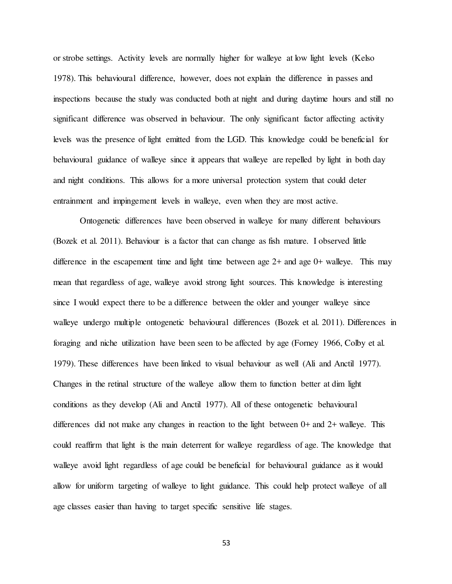or strobe settings. Activity levels are normally higher for walleye at low light levels (Kelso 1978). This behavioural difference, however, does not explain the difference in passes and inspections because the study was conducted both at night and during daytime hours and still no significant difference was observed in behaviour. The only significant factor affecting activity levels was the presence of light emitted from the LGD. This knowledge could be beneficial for behavioural guidance of walleye since it appears that walleye are repelled by light in both day and night conditions. This allows for a more universal protection system that could deter entrainment and impingement levels in walleye, even when they are most active.

 Ontogenetic differences have been observed in walleye for many different behaviours (Bozek et al. 2011). Behaviour is a factor that can change as fish mature. I observed little difference in the escapement time and light time between age 2+ and age 0+ walleye. This may mean that regardless of age, walleye avoid strong light sources. This knowledge is interesting since I would expect there to be a difference between the older and younger walleye since walleye undergo multiple ontogenetic behavioural differences (Bozek et al. 2011). Differences in foraging and niche utilization have been seen to be affected by age (Forney 1966, Colby et al. 1979). These differences have been linked to visual behaviour as well (Ali and Anctil 1977). Changes in the retinal structure of the walleye allow them to function better at dim light conditions as they develop (Ali and Anctil 1977). All of these ontogenetic behavioural differences did not make any changes in reaction to the light between 0+ and 2+ walleye. This could reaffirm that light is the main deterrent for walleye regardless of age. The knowledge that walleye avoid light regardless of age could be beneficial for behavioural guidance as it would allow for uniform targeting of walleye to light guidance. This could help protect walleye of all age classes easier than having to target specific sensitive life stages.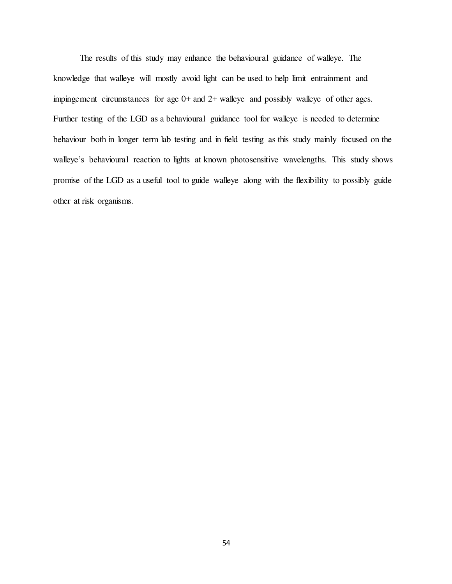The results of this study may enhance the behavioural guidance of walleye. The knowledge that walleye will mostly avoid light can be used to help limit entrainment and impingement circumstances for age 0+ and 2+ walleye and possibly walleye of other ages. Further testing of the LGD as a behavioural guidance tool for walleye is needed to determine behaviour both in longer term lab testing and in field testing as this study mainly focused on the walleye's behavioural reaction to lights at known photosensitive wavelengths. This study shows promise of the LGD as a useful tool to guide walleye along with the flexibility to possibly guide other at risk organisms.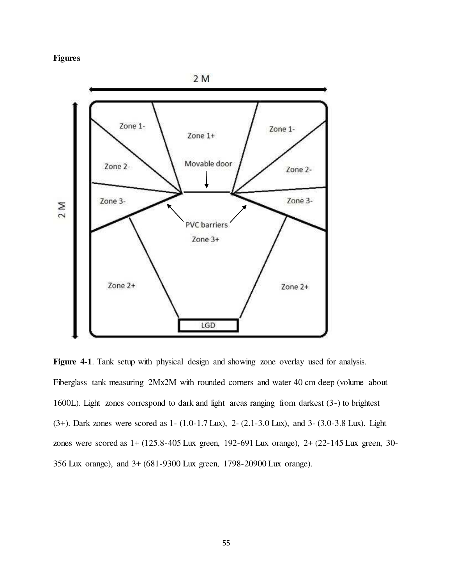# Figures



Figure 4-1. Tank setup with physical design and showing zone overlay used for analysis. Fiberglass tank measuring 2Mx2M with rounded corners and water 40 cm deep (volume about 1600L). Light zones correspond to dark and light areas ranging from darkest (3-) to brightest (3+). Dark zones were scored as 1- (1.0-1.7 Lux), 2- (2.1-3.0 Lux), and 3- (3.0-3.8 Lux). Light zones were scored as 1+ (125.8-405 Lux green, 192-691 Lux orange), 2+ (22-145 Lux green, 30- 356 Lux orange), and 3+ (681-9300 Lux green, 1798-20900 Lux orange).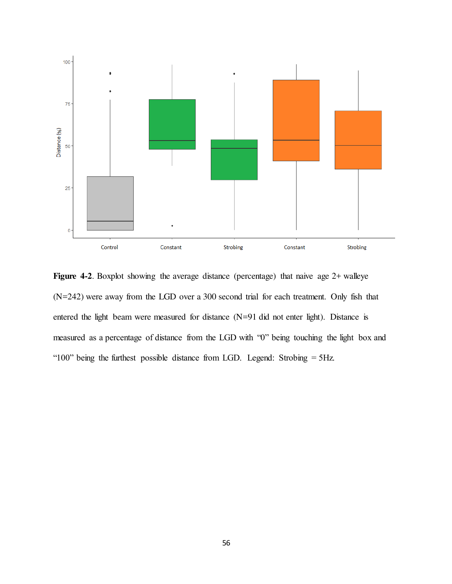

Figure 4-2. Boxplot showing the average distance (percentage) that naive age 2+ walleye (N=242) were away from the LGD over a 300 second trial for each treatment. Only fish that entered the light beam were measured for distance (N=91 did not enter light). Distance is measured as a percentage of distance from the LGD with "0" being touching the light box and "100" being the furthest possible distance from LGD. Legend: Strobing = 5Hz.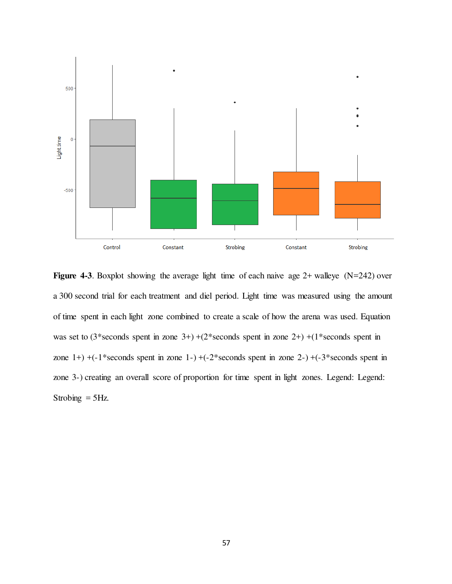

Figure 4-3. Boxplot showing the average light time of each naive age  $2+$  walleye (N=242) over a 300 second trial for each treatment and diel period. Light time was measured using the amount of time spent in each light zone combined to create a scale of how the arena was used. Equation was set to  $(3*seconds spent in zone 3+) + (2*seconds spent in zone 2+) + (1*seconds spent in$ zone  $1+$ ) +(-1\*seconds spent in zone  $1-$ ) +(-2\*seconds spent in zone  $2-$ ) +(-3\*seconds spent in zone 3-) creating an overall score of proportion for time spent in light zones. Legend: Legend: Strobing  $=$  5Hz.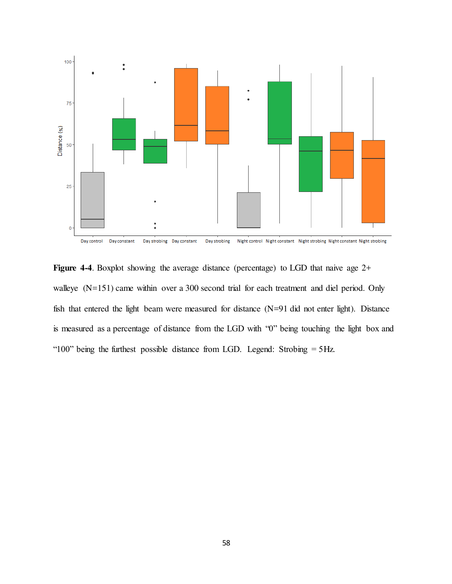

Figure 4-4. Boxplot showing the average distance (percentage) to LGD that naive age 2+ walleye (N=151) came within over a 300 second trial for each treatment and diel period. Only fish that entered the light beam were measured for distance (N=91 did not enter light). Distance is measured as a percentage of distance from the LGD with "0" being touching the light box and "100" being the furthest possible distance from LGD. Legend: Strobing = 5Hz.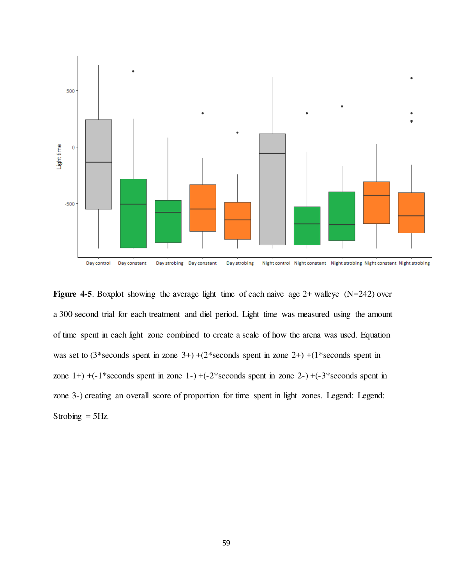

**Figure 4-5.** Boxplot showing the average light time of each naive age  $2+$  walleye (N=242) over a 300 second trial for each treatment and diel period. Light time was measured using the amount of time spent in each light zone combined to create a scale of how the arena was used. Equation was set to  $(3*seconds spent in zone 3+) + (2*seconds spent in zone 2+) + (1*seconds spent in$ zone  $1+)$  +( $-1$ \*seconds spent in zone  $1-)$  +( $-2$ \*seconds spent in zone  $2-)$  +( $-3$ \*seconds spent in zone 3-) creating an overall score of proportion for time spent in light zones. Legend: Legend: Strobing  $=$  5Hz.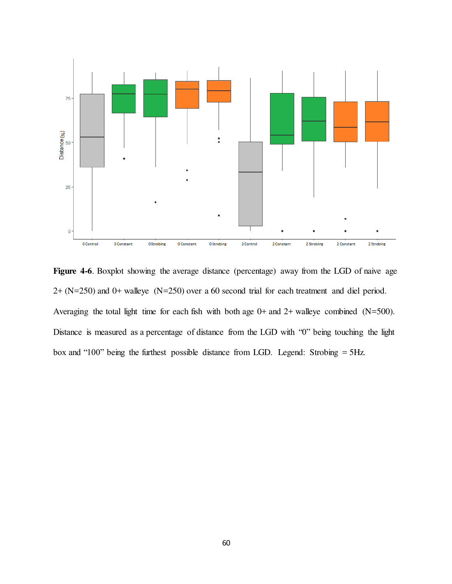

Figure 4-6. Boxplot showing the average distance (percentage) away from the LGD of naive age 2+ (N=250) and 0+ walleye (N=250) over a 60 second trial for each treatment and diel period. Averaging the total light time for each fish with both age 0+ and 2+ walleye combined (N=500). Distance is measured as a percentage of distance from the LGD with "0" being touching the light box and "100" being the furthest possible distance from LGD. Legend: Strobing = 5Hz.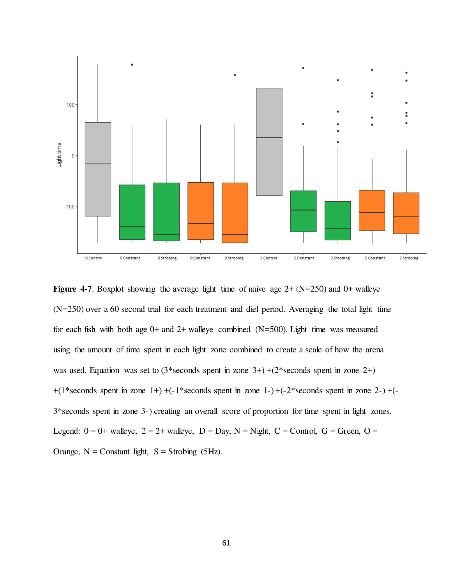

**Figure 4-7.** Boxplot showing the average light time of naive age  $2+(N=250)$  and  $0+$  walleye (N=250) over a 60 second trial for each treatment and diel period. Averaging the total light time for each fish with both age  $0+$  and  $2+$  walleye combined (N=500). Light time was measured using the amount of time spent in each light zone combined to create a scale of how the arena was used. Equation was set to  $(3*seconds spent in zone 3+) + (2*seconds spent in zone 2+)$  $+(1*seconds spent in zone 1+) + (-1*seconds spent in zone 1-) + (-2*seconds spent in zone 2-) + (-1*seconds spent in zone 1+)$ 3\*seconds spent in zone 3-) creating an overall score of proportion for time spent in light zones. Legend:  $0 = 0$ + walleye,  $2 = 2$ + walleye,  $D = Day$ ,  $N = Night$ ,  $C = Control$ ,  $G = Green$ ,  $O =$ Orange,  $N =$  Constant light,  $S =$  Strobing (5Hz).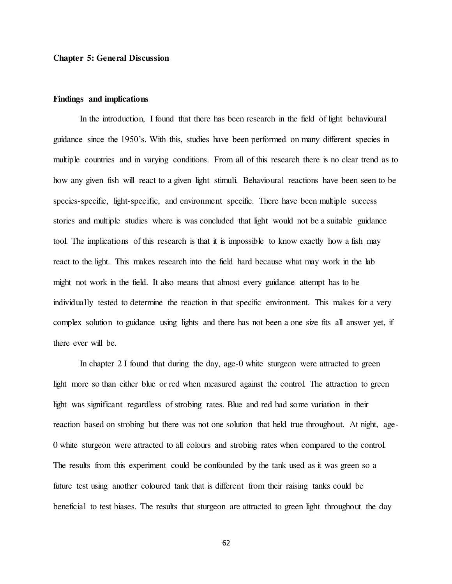## Chapter 5: General Discussion

## Findings and implications

 In the introduction, I found that there has been research in the field of light behavioural guidance since the 1950's. With this, studies have been performed on many different species in multiple countries and in varying conditions. From all of this research there is no clear trend as to how any given fish will react to a given light stimuli. Behavioural reactions have been seen to be species-specific, light-specific, and environment specific. There have been multiple success stories and multiple studies where is was concluded that light would not be a suitable guidance tool. The implications of this research is that it is impossible to know exactly how a fish may react to the light. This makes research into the field hard because what may work in the lab might not work in the field. It also means that almost every guidance attempt has to be individually tested to determine the reaction in that specific environment. This makes for a very complex solution to guidance using lights and there has not been a one size fits all answer yet, if there ever will be.

 In chapter 2 I found that during the day, age-0 white sturgeon were attracted to green light more so than either blue or red when measured against the control. The attraction to green light was significant regardless of strobing rates. Blue and red had some variation in their reaction based on strobing but there was not one solution that held true throughout. At night, age-0 white sturgeon were attracted to all colours and strobing rates when compared to the control. The results from this experiment could be confounded by the tank used as it was green so a future test using another coloured tank that is different from their raising tanks could be beneficial to test biases. The results that sturgeon are attracted to green light throughout the day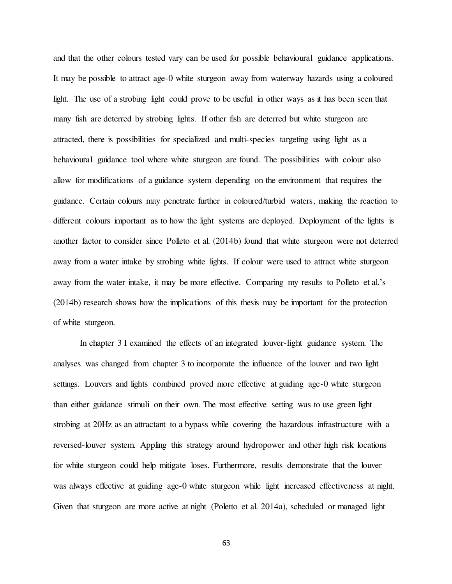and that the other colours tested vary can be used for possible behavioural guidance applications. It may be possible to attract age-0 white sturgeon away from waterway hazards using a coloured light. The use of a strobing light could prove to be useful in other ways as it has been seen that many fish are deterred by strobing lights. If other fish are deterred but white sturgeon are attracted, there is possibilities for specialized and multi-species targeting using light as a behavioural guidance tool where white sturgeon are found. The possibilities with colour also allow for modifications of a guidance system depending on the environment that requires the guidance. Certain colours may penetrate further in coloured/turbid waters, making the reaction to different colours important as to how the light systems are deployed. Deployment of the lights is another factor to consider since Polleto et al. (2014b) found that white sturgeon were not deterred away from a water intake by strobing white lights. If colour were used to attract white sturgeon away from the water intake, it may be more effective. Comparing my results to Polleto et al.'s (2014b) research shows how the implications of this thesis may be important for the protection of white sturgeon.

 In chapter 3 I examined the effects of an integrated louver-light guidance system. The analyses was changed from chapter 3 to incorporate the influence of the louver and two light settings. Louvers and lights combined proved more effective at guiding age-0 white sturgeon than either guidance stimuli on their own. The most effective setting was to use green light strobing at 20Hz as an attractant to a bypass while covering the hazardous infrastructure with a reversed-louver system. Appling this strategy around hydropower and other high risk locations for white sturgeon could help mitigate loses. Furthermore, results demonstrate that the louver was always effective at guiding age-0 white sturgeon while light increased effectiveness at night. Given that sturgeon are more active at night (Poletto et al. 2014a), scheduled or managed light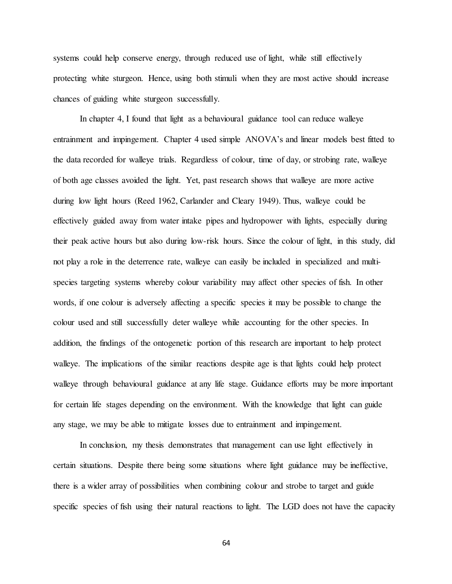systems could help conserve energy, through reduced use of light, while still effectively protecting white sturgeon. Hence, using both stimuli when they are most active should increase chances of guiding white sturgeon successfully.

 In chapter 4, I found that light as a behavioural guidance tool can reduce walleye entrainment and impingement. Chapter 4 used simple ANOVA's and linear models best fitted to the data recorded for walleye trials. Regardless of colour, time of day, or strobing rate, walleye of both age classes avoided the light. Yet, past research shows that walleye are more active during low light hours (Reed 1962, Carlander and Cleary 1949). Thus, walleye could be effectively guided away from water intake pipes and hydropower with lights, especially during their peak active hours but also during low-risk hours. Since the colour of light, in this study, did not play a role in the deterrence rate, walleye can easily be included in specialized and multispecies targeting systems whereby colour variability may affect other species of fish. In other words, if one colour is adversely affecting a specific species it may be possible to change the colour used and still successfully deter walleye while accounting for the other species. In addition, the findings of the ontogenetic portion of this research are important to help protect walleye. The implications of the similar reactions despite age is that lights could help protect walleye through behavioural guidance at any life stage. Guidance efforts may be more important for certain life stages depending on the environment. With the knowledge that light can guide any stage, we may be able to mitigate losses due to entrainment and impingement.

 In conclusion, my thesis demonstrates that management can use light effectively in certain situations. Despite there being some situations where light guidance may be ineffective, there is a wider array of possibilities when combining colour and strobe to target and guide specific species of fish using their natural reactions to light. The LGD does not have the capacity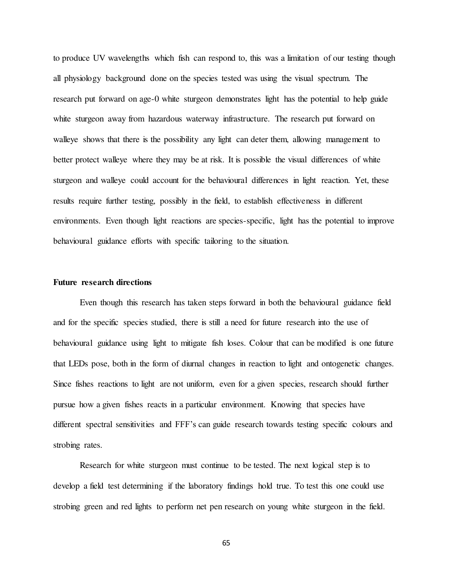to produce UV wavelengths which fish can respond to, this was a limitation of our testing though all physiology background done on the species tested was using the visual spectrum. The research put forward on age-0 white sturgeon demonstrates light has the potential to help guide white sturgeon away from hazardous waterway infrastructure. The research put forward on walleye shows that there is the possibility any light can deter them, allowing management to better protect walleye where they may be at risk. It is possible the visual differences of white sturgeon and walleye could account for the behavioural differences in light reaction. Yet, these results require further testing, possibly in the field, to establish effectiveness in different environments. Even though light reactions are species-specific, light has the potential to improve behavioural guidance efforts with specific tailoring to the situation.

## Future research directions

Even though this research has taken steps forward in both the behavioural guidance field and for the specific species studied, there is still a need for future research into the use of behavioural guidance using light to mitigate fish loses. Colour that can be modified is one future that LEDs pose, both in the form of diurnal changes in reaction to light and ontogenetic changes. Since fishes reactions to light are not uniform, even for a given species, research should further pursue how a given fishes reacts in a particular environment. Knowing that species have different spectral sensitivities and FFF's can guide research towards testing specific colours and strobing rates.

 Research for white sturgeon must continue to be tested. The next logical step is to develop a field test determining if the laboratory findings hold true. To test this one could use strobing green and red lights to perform net pen research on young white sturgeon in the field.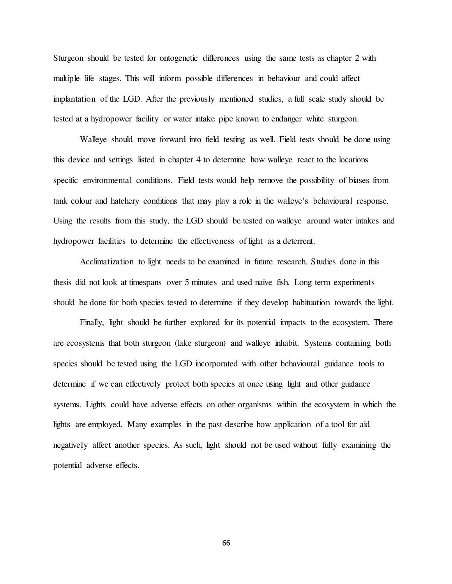Sturgeon should be tested for ontogenetic differences using the same tests as chapter 2 with multiple life stages. This will inform possible differences in behaviour and could affect implantation of the LGD. After the previously mentioned studies, a full scale study should be tested at a hydropower facility or water intake pipe known to endanger white sturgeon.

 Walleye should move forward into field testing as well. Field tests should be done using this device and settings listed in chapter 4 to determine how walleye react to the locations specific environmental conditions. Field tests would help remove the possibility of biases from tank colour and hatchery conditions that may play a role in the walleye's behavioural response. Using the results from this study, the LGD should be tested on walleye around water intakes and hydropower facilities to determine the effectiveness of light as a deterrent.

 Acclimatization to light needs to be examined in future research. Studies done in this thesis did not look at timespans over 5 minutes and used naïve fish. Long term experiments should be done for both species tested to determine if they develop habituation towards the light.

 Finally, light should be further explored for its potential impacts to the ecosystem. There are ecosystems that both sturgeon (lake sturgeon) and walleye inhabit. Systems containing both species should be tested using the LGD incorporated with other behavioural guidance tools to determine if we can effectively protect both species at once using light and other guidance systems. Lights could have adverse effects on other organisms within the ecosystem in which the lights are employed. Many examples in the past describe how application of a tool for aid negatively affect another species. As such, light should not be used without fully examining the potential adverse effects.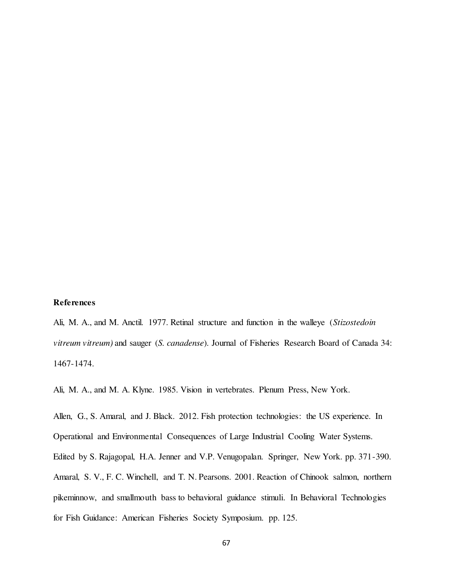## References

Ali, M. A., and M. Anctil. 1977. Retinal structure and function in the walleye (Stizostedoin vitreum vitreum) and sauger (S. canadense). Journal of Fisheries Research Board of Canada 34: 1467-1474.

Ali, M. A., and M. A. Klyne. 1985. Vision in vertebrates. Plenum Press, New York.

Allen, G., S. Amaral, and J. Black. 2012. Fish protection technologies: the US experience. In Operational and Environmental Consequences of Large Industrial Cooling Water Systems. Edited by S. Rajagopal, H.A. Jenner and V.P. Venugopalan. Springer, New York. pp. 371-390. Amaral, S. V., F. C. Winchell, and T. N. Pearsons. 2001. Reaction of Chinook salmon, northern pikeminnow, and smallmouth bass to behavioral guidance stimuli. In Behavioral Technologies for Fish Guidance: American Fisheries Society Symposium. pp. 125.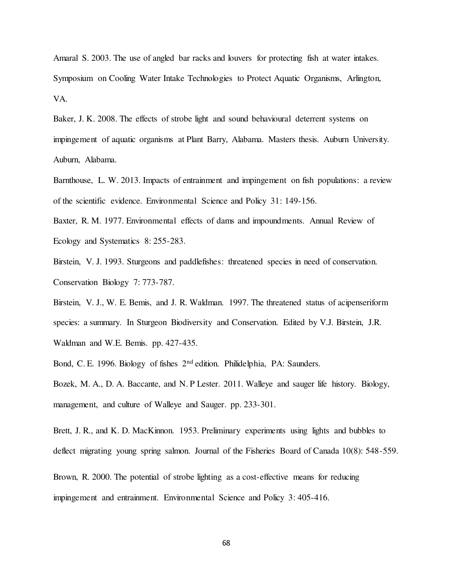Amaral S. 2003. The use of angled bar racks and louvers for protecting fish at water intakes. Symposium on Cooling Water Intake Technologies to Protect Aquatic Organisms, Arlington, VA.

Baker, J. K. 2008. The effects of strobe light and sound behavioural deterrent systems on impingement of aquatic organisms at Plant Barry, Alabama. Masters thesis. Auburn University. Auburn, Alabama.

Barnthouse, L. W. 2013. Impacts of entrainment and impingement on fish populations: a review of the scientific evidence. Environmental Science and Policy 31: 149-156.

Baxter, R. M. 1977. Environmental effects of dams and impoundments. Annual Review of Ecology and Systematics 8: 255-283.

Birstein, V. J. 1993. Sturgeons and paddlefishes: threatened species in need of conservation. Conservation Biology 7: 773-787.

Birstein, V. J., W. E. Bemis, and J. R. Waldman. 1997. The threatened status of acipenseriform species: a summary. In Sturgeon Biodiversity and Conservation. Edited by V.J. Birstein, J.R. Waldman and W.E. Bemis. pp. 427-435.

Bond, C. E. 1996. Biology of fishes  $2<sup>nd</sup>$  edition. Philidelphia, PA: Saunders.

Bozek, M. A., D. A. Baccante, and N. P Lester. 2011. Walleye and sauger life history. Biology, management, and culture of Walleye and Sauger. pp. 233-301.

Brett, J. R., and K. D. MacKinnon. 1953. Preliminary experiments using lights and bubbles to deflect migrating young spring salmon. Journal of the Fisheries Board of Canada 10(8): 548-559.

Brown, R. 2000. The potential of strobe lighting as a cost-effective means for reducing impingement and entrainment. Environmental Science and Policy 3: 405-416.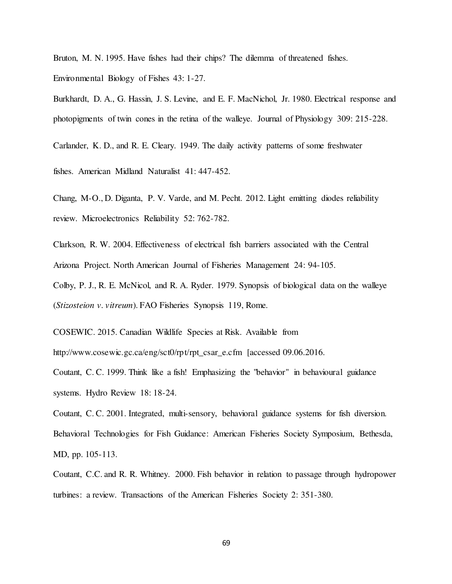Bruton, M. N. 1995. Have fishes had their chips? The dilemma of threatened fishes. Environmental Biology of Fishes 43: 1-27.

Burkhardt, D. A., G. Hassin, J. S. Levine, and E. F. MacNichol, Jr. 1980. Electrical response and photopigments of twin cones in the retina of the walleye. Journal of Physiology 309: 215-228.

Carlander, K. D., and R. E. Cleary. 1949. The daily activity patterns of some freshwater

fishes. American Midland Naturalist 41: 447-452.

Chang, M-O., D. Diganta, P. V. Varde, and M. Pecht. 2012. Light emitting diodes reliability review. Microelectronics Reliability 52: 762-782.

Clarkson, R. W. 2004. Effectiveness of electrical fish barriers associated with the Central Arizona Project. North American Journal of Fisheries Management 24: 94-105.

Colby, P. J., R. E. McNicol, and R. A. Ryder. 1979. Synopsis of biological data on the walleye (Stizosteion v. vitreum). FAO Fisheries Synopsis 119, Rome.

COSEWIC. 2015. Canadian Wildlife Species at Risk. Available from

http://www.cosewic.gc.ca/eng/sct0/rpt/rpt\_csar\_e.cfm [accessed 09.06.2016.

Coutant, C. C. 1999. Think like a fish! Emphasizing the "behavior" in behavioural guidance systems. Hydro Review 18: 18-24.

Coutant, C. C. 2001. Integrated, multi-sensory, behavioral guidance systems for fish diversion. Behavioral Technologies for Fish Guidance: American Fisheries Society Symposium, Bethesda, MD, pp. 105-113.

Coutant, C.C. and R. R. Whitney. 2000. Fish behavior in relation to passage through hydropower turbines: a review. Transactions of the American Fisheries Society 2: 351-380.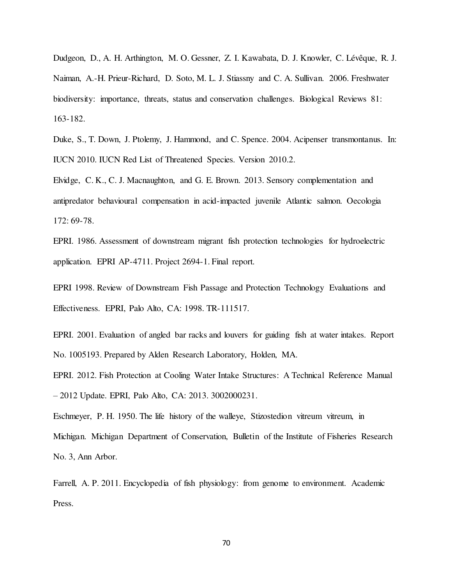Dudgeon, D., A. H. Arthington, M. O. Gessner, Z. I. Kawabata, D. J. Knowler, C. Lévêque, R. J. Naiman, A.-H. Prieur-Richard, D. Soto, M. L. J. Stiassny and C. A. Sullivan. 2006. Freshwater biodiversity: importance, threats, status and conservation challenges. Biological Reviews 81: 163-182.

Duke, S., T. Down, J. Ptolemy, J. Hammond, and C. Spence. 2004. Acipenser transmontanus. In: IUCN 2010. IUCN Red List of Threatened Species. Version 2010.2.

Elvidge, C. K., C. J. Macnaughton, and G. E. Brown. 2013. Sensory complementation and antipredator behavioural compensation in acid-impacted juvenile Atlantic salmon. Oecologia 172: 69-78.

EPRI. 1986. Assessment of downstream migrant fish protection technologies for hydroelectric application. EPRI AP-4711. Project 2694-1. Final report.

EPRI 1998. Review of Downstream Fish Passage and Protection Technology Evaluations and Effectiveness. EPRI, Palo Alto, CA: 1998. TR-111517.

EPRI. 2001. Evaluation of angled bar racks and louvers for guiding fish at water intakes. Report No. 1005193. Prepared by Alden Research Laboratory, Holden, MA.

EPRI. 2012. Fish Protection at Cooling Water Intake Structures: A Technical Reference Manual – 2012 Update. EPRI, Palo Alto, CA: 2013. 3002000231.

Eschmeyer, P. H. 1950. The life history of the walleye, Stizostedion vitreum vitreum, in Michigan. Michigan Department of Conservation, Bulletin of the Institute of Fisheries Research No. 3, Ann Arbor.

Farrell, A. P. 2011. Encyclopedia of fish physiology: from genome to environment. Academic Press.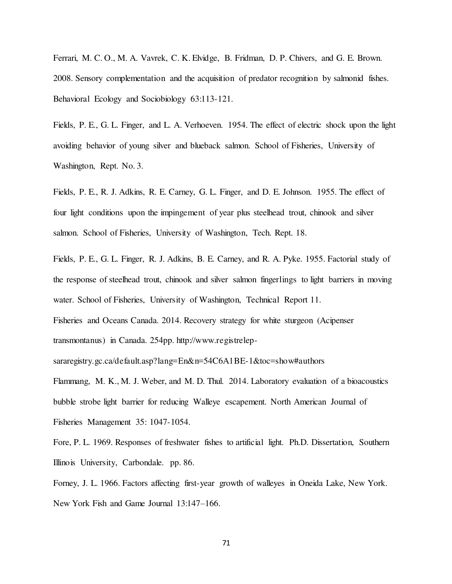Ferrari, M. C. O., M. A. Vavrek, C. K. Elvidge, B. Fridman, D. P. Chivers, and G. E. Brown. 2008. Sensory complementation and the acquisition of predator recognition by salmonid fishes. Behavioral Ecology and Sociobiology 63:113-121.

Fields, P. E., G. L. Finger, and L. A. Verhoeven. 1954. The effect of electric shock upon the light avoiding behavior of young silver and blueback salmon. School of Fisheries, University of Washington, Rept. No. 3.

Fields, P. E., R. J. Adkins, R. E. Carney, G. L. Finger, and D. E. Johnson. 1955. The effect of four light conditions upon the impingement of year plus steelhead trout, chinook and silver salmon. School of Fisheries, University of Washington, Tech. Rept. 18.

Fields, P. E., G. L. Finger, R. J. Adkins, B. E. Carney, and R. A. Pyke. 1955. Factorial study of the response of steelhead trout, chinook and silver salmon fingerlings to light barriers in moving water. School of Fisheries, University of Washington, Technical Report 11.

Fisheries and Oceans Canada. 2014. Recovery strategy for white sturgeon (Acipenser transmontanus) in Canada. 254pp. http://www.registrelep-

sararegistry.gc.ca/default.asp?lang=En&n=54C6A1BE-1&toc=show#authors

Flammang, M. K., M. J. Weber, and M. D. Thul. 2014. Laboratory evaluation of a bioacoustics bubble strobe light barrier for reducing Walleye escapement. North American Journal of Fisheries Management 35: 1047-1054.

Fore, P. L. 1969. Responses of freshwater fishes to artificial light. Ph.D. Dissertation, Southern Illinois University, Carbondale. pp. 86.

Forney, J. L. 1966. Factors affecting first-year growth of walleyes in Oneida Lake, New York. New York Fish and Game Journal 13:147–166.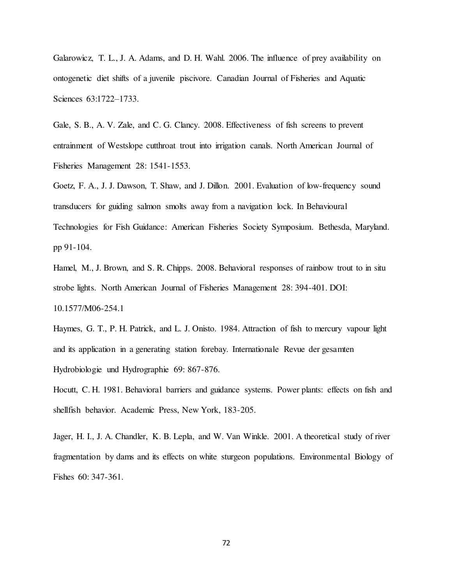Galarowicz, T. L., J. A. Adams, and D. H. Wahl. 2006. The influence of prey availability on ontogenetic diet shifts of a juvenile piscivore. Canadian Journal of Fisheries and Aquatic Sciences 63:1722–1733.

Gale, S. B., A. V. Zale, and C. G. Clancy. 2008. Effectiveness of fish screens to prevent entrainment of Westslope cutthroat trout into irrigation canals. North American Journal of Fisheries Management 28: 1541-1553.

Goetz, F. A., J. J. Dawson, T. Shaw, and J. Dillon. 2001. Evaluation of low-frequency sound transducers for guiding salmon smolts away from a navigation lock. In Behavioural Technologies for Fish Guidance: American Fisheries Society Symposium. Bethesda, Maryland. pp 91-104.

Hamel, M., J. Brown, and S. R. Chipps. 2008. Behavioral responses of rainbow trout to in situ strobe lights. North American Journal of Fisheries Management 28: 394-401. DOI: 10.1577/M06-254.1

Haymes, G. T., P. H. Patrick, and L. J. Onisto. 1984. Attraction of fish to mercury vapour light and its application in a generating station forebay. Internationale Revue der gesamten Hydrobiologie und Hydrographie 69: 867-876.

Hocutt, C. H. 1981. Behavioral barriers and guidance systems. Power plants: effects on fish and shellfish behavior. Academic Press, New York, 183-205.

Jager, H. I., J. A. Chandler, K. B. Lepla, and W. Van Winkle. 2001. A theoretical study of river fragmentation by dams and its effects on white sturgeon populations. Environmental Biology of Fishes 60: 347-361.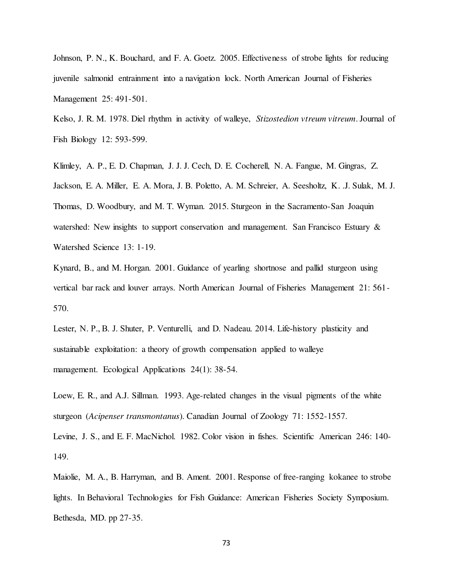Johnson, P. N., K. Bouchard, and F. A. Goetz. 2005. Effectiveness of strobe lights for reducing juvenile salmonid entrainment into a navigation lock. North American Journal of Fisheries Management 25: 491-501.

Kelso, J. R. M. 1978. Diel rhythm in activity of walleye, Stizostedion vtreum vitreum. Journal of Fish Biology 12: 593-599.

Klimley, A. P., E. D. Chapman, J. J. J. Cech, D. E. Cocherell, N. A. Fangue, M. Gingras, Z. Jackson, E. A. Miller, E. A. Mora, J. B. Poletto, A. M. Schreier, A. Seesholtz, K. .J. Sulak, M. J. Thomas, D. Woodbury, and M. T. Wyman. 2015. Sturgeon in the Sacramento-San Joaquin watershed: New insights to support conservation and management. San Francisco Estuary & Watershed Science 13: 1-19.

Kynard, B., and M. Horgan. 2001. Guidance of yearling shortnose and pallid sturgeon using vertical bar rack and louver arrays. North American Journal of Fisheries Management 21: 561- 570.

Lester, N. P., B. J. Shuter, P. Venturelli, and D. Nadeau. 2014. Life-history plasticity and sustainable exploitation: a theory of growth compensation applied to walleye management. Ecological Applications 24(1): 38-54.

Loew, E. R., and A.J. Sillman. 1993. Age-related changes in the visual pigments of the white sturgeon (Acipenser transmontanus). Canadian Journal of Zoology 71: 1552-1557.

Levine, J. S., and E. F. MacNichol. 1982. Color vision in fishes. Scientific American 246: 140- 149.

Maiolie, M. A., B. Harryman, and B. Ament. 2001. Response of free-ranging kokanee to strobe lights. In Behavioral Technologies for Fish Guidance: American Fisheries Society Symposium. Bethesda, MD. pp 27-35.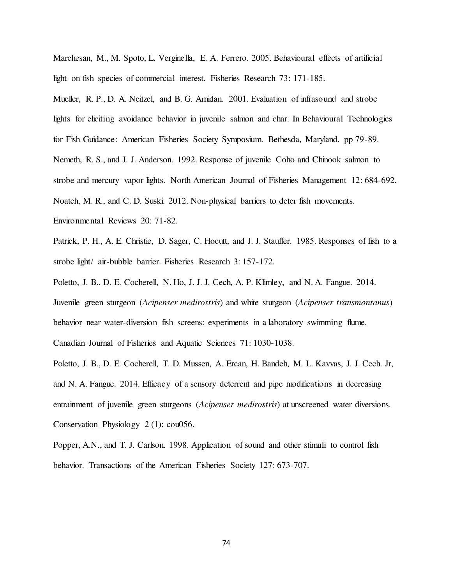Marchesan, M., M. Spoto, L. Verginella, E. A. Ferrero. 2005. Behavioural effects of artificial light on fish species of commercial interest. Fisheries Research 73: 171-185.

Mueller, R. P., D. A. Neitzel, and B. G. Amidan. 2001. Evaluation of infrasound and strobe lights for eliciting avoidance behavior in juvenile salmon and char. In Behavioural Technologies for Fish Guidance: American Fisheries Society Symposium. Bethesda, Maryland. pp 79-89. Nemeth, R. S., and J. J. Anderson. 1992. Response of juvenile Coho and Chinook salmon to strobe and mercury vapor lights. North American Journal of Fisheries Management 12: 684-692. Noatch, M. R., and C. D. Suski. 2012. Non-physical barriers to deter fish movements. Environmental Reviews 20: 71-82.

Patrick, P. H., A. E. Christie, D. Sager, C. Hocutt, and J. J. Stauffer. 1985. Responses of fish to a strobe light/ air-bubble barrier. Fisheries Research 3: 157-172.

Poletto, J. B., D. E. Cocherell, N. Ho, J. J. J. Cech, A. P. Klimley, and N. A. Fangue. 2014.

Juvenile green sturgeon (Acipenser medirostris) and white sturgeon (Acipenser transmontanus) behavior near water-diversion fish screens: experiments in a laboratory swimming flume. Canadian Journal of Fisheries and Aquatic Sciences 71: 1030-1038.

Poletto, J. B., D. E. Cocherell, T. D. Mussen, A. Ercan, H. Bandeh, M. L. Kavvas, J. J. Cech. Jr, and N. A. Fangue. 2014. Efficacy of a sensory deterrent and pipe modifications in decreasing entrainment of juvenile green sturgeons (*Acipenser medirostris*) at unscreened water diversions. Conservation Physiology 2 (1): cou056.

Popper, A.N., and T. J. Carlson. 1998. Application of sound and other stimuli to control fish behavior. Transactions of the American Fisheries Society 127: 673-707.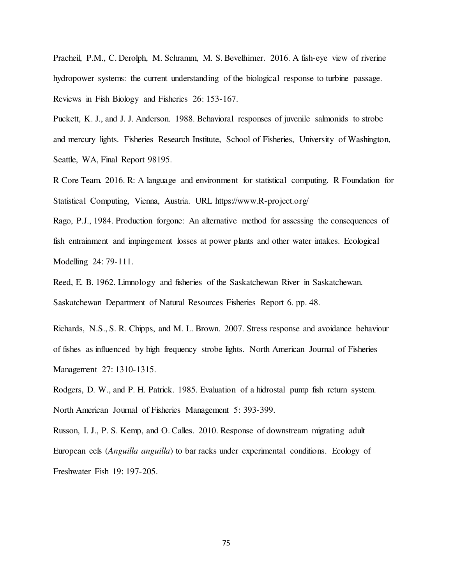Pracheil, P.M., C. Derolph, M. Schramm, M. S. Bevelhimer. 2016. A fish-eye view of riverine hydropower systems: the current understanding of the biological response to turbine passage. Reviews in Fish Biology and Fisheries 26: 153-167.

Puckett, K. J., and J. J. Anderson. 1988. Behavioral responses of juvenile salmonids to strobe and mercury lights. Fisheries Research Institute, School of Fisheries, University of Washington, Seattle, WA, Final Report 98195.

R Core Team. 2016. R: A language and environment for statistical computing. R Foundation for Statistical Computing, Vienna, Austria. URL https://www.R-project.org/

Rago, P.J., 1984. Production forgone: An alternative method for assessing the consequences of fish entrainment and impingement losses at power plants and other water intakes. Ecological Modelling 24: 79-111.

Reed, E. B. 1962. Limnology and fisheries of the Saskatchewan River in Saskatchewan. Saskatchewan Department of Natural Resources Fisheries Report 6. pp. 48.

Richards, N.S., S. R. Chipps, and M. L. Brown. 2007. Stress response and avoidance behaviour of fishes as influenced by high frequency strobe lights. North American Journal of Fisheries Management 27: 1310-1315.

Rodgers, D. W., and P. H. Patrick. 1985. Evaluation of a hidrostal pump fish return system. North American Journal of Fisheries Management 5: 393-399.

Russon, I. J., P. S. Kemp, and O. Calles. 2010. Response of downstream migrating adult European eels (Anguilla anguilla) to bar racks under experimental conditions. Ecology of Freshwater Fish 19: 197-205.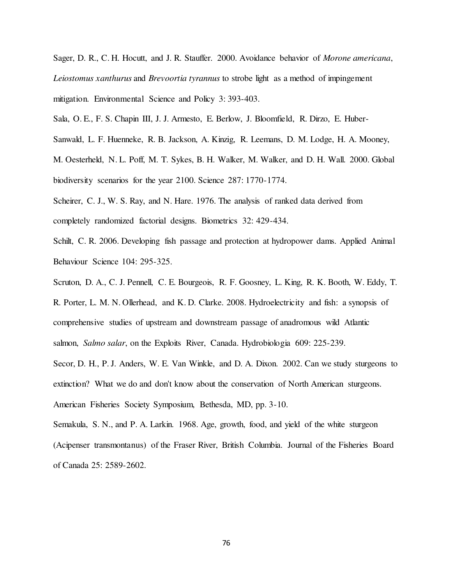Sager, D. R., C. H. Hocutt, and J. R. Stauffer. 2000. Avoidance behavior of Morone americana, Leiostomus xanthurus and Brevoortia tyrannus to strobe light as a method of impingement mitigation. Environmental Science and Policy 3: 393-403.

Sala, O. E., F. S. Chapin III, J. J. Armesto, E. Berlow, J. Bloomfield, R. Dirzo, E. Huber-

Sanwald, L. F. Huenneke, R. B. Jackson, A. Kinzig, R. Leemans, D. M. Lodge, H. A. Mooney,

M. Oesterheld, N. L. Poff, M. T. Sykes, B. H. Walker, M. Walker, and D. H. Wall. 2000. Global biodiversity scenarios for the year 2100. Science 287: 1770-1774.

Scheirer, C. J., W. S. Ray, and N. Hare. 1976. The analysis of ranked data derived from completely randomized factorial designs. Biometrics 32: 429-434.

Schilt, C. R. 2006. Developing fish passage and protection at hydropower dams. Applied Animal Behaviour Science 104: 295-325.

Scruton, D. A., C. J. Pennell, C. E. Bourgeois, R. F. Goosney, L. King, R. K. Booth, W. Eddy, T.

R. Porter, L. M. N. Ollerhead, and K. D. Clarke. 2008. Hydroelectricity and fish: a synopsis of comprehensive studies of upstream and downstream passage of anadromous wild Atlantic salmon, Salmo salar, on the Exploits River, Canada. Hydrobiologia 609: 225-239.

Secor, D. H., P. J. Anders, W. E. Van Winkle, and D. A. Dixon. 2002. Can we study sturgeons to extinction? What we do and don't know about the conservation of North American sturgeons. American Fisheries Society Symposium, Bethesda, MD, pp. 3-10.

Semakula, S. N., and P. A. Larkin. 1968. Age, growth, food, and yield of the white sturgeon (Acipenser transmontanus) of the Fraser River, British Columbia. Journal of the Fisheries Board of Canada 25: 2589-2602.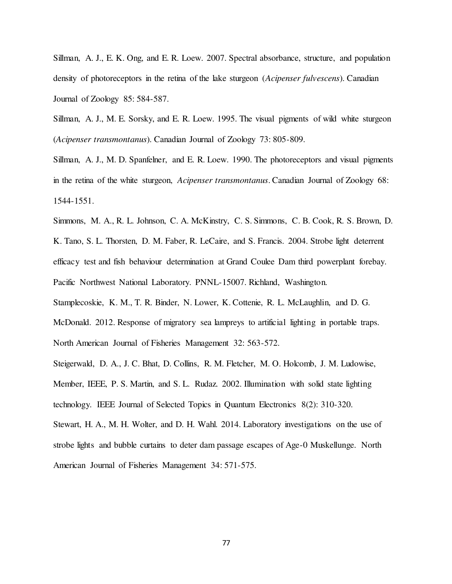Sillman, A. J., E. K. Ong, and E. R. Loew. 2007. Spectral absorbance, structure, and population density of photoreceptors in the retina of the lake sturgeon (Acipenser fulvescens). Canadian Journal of Zoology 85: 584-587.

Sillman, A. J., M. E. Sorsky, and E. R. Loew. 1995. The visual pigments of wild white sturgeon (Acipenser transmontanus). Canadian Journal of Zoology 73: 805-809.

Sillman, A. J., M. D. Spanfelner, and E. R. Loew. 1990. The photoreceptors and visual pigments in the retina of the white sturgeon, Acipenser transmontanus. Canadian Journal of Zoology 68: 1544-1551.

Simmons, M. A., R. L. Johnson, C. A. McKinstry, C. S. Simmons, C. B. Cook, R. S. Brown, D. K. Tano, S. L. Thorsten, D. M. Faber, R. LeCaire, and S. Francis. 2004. Strobe light deterrent efficacy test and fish behaviour determination at Grand Coulee Dam third powerplant forebay. Pacific Northwest National Laboratory. PNNL-15007. Richland, Washington.

Stamplecoskie, K. M., T. R. Binder, N. Lower, K. Cottenie, R. L. McLaughlin, and D. G. McDonald. 2012. Response of migratory sea lampreys to artificial lighting in portable traps. North American Journal of Fisheries Management 32: 563-572.

Steigerwald, D. A., J. C. Bhat, D. Collins, R. M. Fletcher, M. O. Holcomb, J. M. Ludowise, Member, IEEE, P. S. Martin, and S. L. Rudaz. 2002. Illumination with solid state lighting technology. IEEE Journal of Selected Topics in Quantum Electronics 8(2): 310-320.

Stewart, H. A., M. H. Wolter, and D. H. Wahl. 2014. Laboratory investigations on the use of strobe lights and bubble curtains to deter dam passage escapes of Age-0 Muskellunge. North American Journal of Fisheries Management 34: 571-575.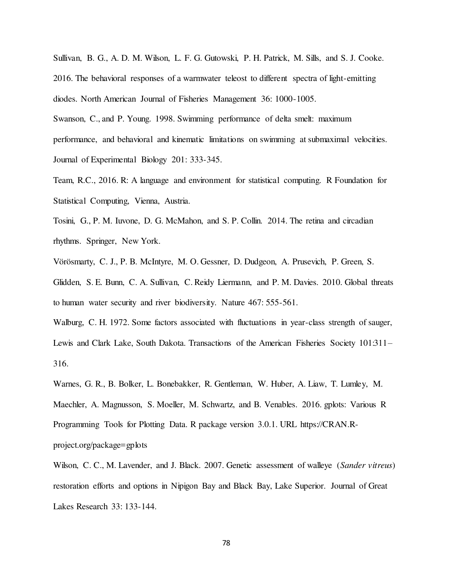Sullivan, B. G., A. D. M. Wilson, L. F. G. Gutowski, P. H. Patrick, M. Sills, and S. J. Cooke. 2016. The behavioral responses of a warmwater teleost to different spectra of light-emitting diodes. North American Journal of Fisheries Management 36: 1000-1005.

Swanson, C., and P. Young. 1998. Swimming performance of delta smelt: maximum performance, and behavioral and kinematic limitations on swimming at submaximal velocities. Journal of Experimental Biology 201: 333-345.

Team, R.C., 2016. R: A language and environment for statistical computing. R Foundation for Statistical Computing, Vienna, Austria.

Tosini, G., P. M. Iuvone, D. G. McMahon, and S. P. Collin. 2014. The retina and circadian rhythms. Springer, New York.

Vörösmarty, C. J., P. B. McIntyre, M. O. Gessner, D. Dudgeon, A. Prusevich, P. Green, S.

Glidden, S. E. Bunn, C. A. Sullivan, C. Reidy Liermann, and P. M. Davies. 2010. Global threats to human water security and river biodiversity. Nature 467: 555-561.

Walburg, C. H. 1972. Some factors associated with fluctuations in year-class strength of sauger, Lewis and Clark Lake, South Dakota. Transactions of the American Fisheries Society 101:311– 316.

Warnes, G. R., B. Bolker, L. Bonebakker, R. Gentleman, W. Huber, A. Liaw, T. Lumley, M. Maechler, A. Magnusson, S. Moeller, M. Schwartz, and B. Venables. 2016. gplots: Various R Programming Tools for Plotting Data. R package version 3.0.1. URL https://CRAN.Rproject.org/package=gplots

Wilson, C. C., M. Lavender, and J. Black. 2007. Genetic assessment of walleye (Sander vitreus) restoration efforts and options in Nipigon Bay and Black Bay, Lake Superior. Journal of Great Lakes Research 33: 133-144.